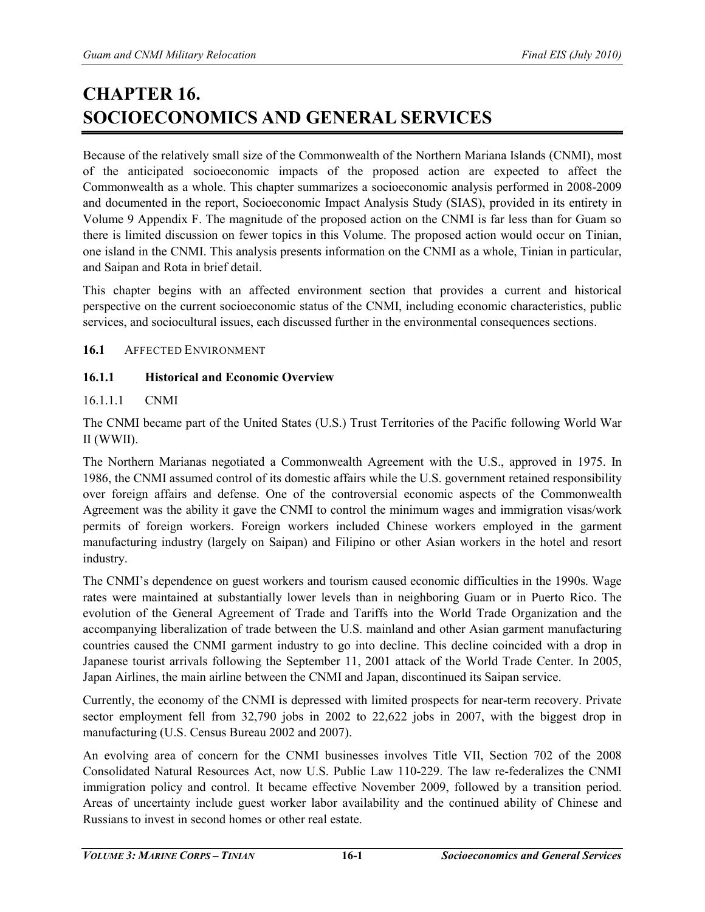# **CHAPTER 16. SOCIOECONOMICS AND GENERAL SERVICES**

Because of the relatively small size of the Commonwealth of the Northern Mariana Islands (CNMI), most of the anticipated socioeconomic impacts of the proposed action are expected to affect the Commonwealth as a whole. This chapter summarizes a socioeconomic analysis performed in 2008-2009 and documented in the report, Socioeconomic Impact Analysis Study (SIAS), provided in its entirety in Volume 9 Appendix F. The magnitude of the proposed action on the CNMI is far less than for Guam so there is limited discussion on fewer topics in this Volume. The proposed action would occur on Tinian, one island in the CNMI. This analysis presents information on the CNMI as a whole, Tinian in particular, and Saipan and Rota in brief detail.

This chapter begins with an affected environment section that provides a current and historical perspective on the current socioeconomic status of the CNMI, including economic characteristics, public services, and sociocultural issues, each discussed further in the environmental consequences sections.

## **16.1** AFFECTED ENVIRONMENT

## **16.1.1 Historical and Economic Overview**

## 16.1.1.1 CNMI

The CNMI became part of the United States (U.S.) Trust Territories of the Pacific following World War II (WWII).

The Northern Marianas negotiated a Commonwealth Agreement with the U.S., approved in 1975. In 1986, the CNMI assumed control of its domestic affairs while the U.S. government retained responsibility over foreign affairs and defense. One of the controversial economic aspects of the Commonwealth Agreement was the ability it gave the CNMI to control the minimum wages and immigration visas/work permits of foreign workers. Foreign workers included Chinese workers employed in the garment manufacturing industry (largely on Saipan) and Filipino or other Asian workers in the hotel and resort industry.

The CNMI's dependence on guest workers and tourism caused economic difficulties in the 1990s. Wage rates were maintained at substantially lower levels than in neighboring Guam or in Puerto Rico. The evolution of the General Agreement of Trade and Tariffs into the World Trade Organization and the accompanying liberalization of trade between the U.S. mainland and other Asian garment manufacturing countries caused the CNMI garment industry to go into decline. This decline coincided with a drop in Japanese tourist arrivals following the September 11, 2001 attack of the World Trade Center. In 2005, Japan Airlines, the main airline between the CNMI and Japan, discontinued its Saipan service.

Currently, the economy of the CNMI is depressed with limited prospects for near-term recovery. Private sector employment fell from 32,790 jobs in 2002 to 22,622 jobs in 2007, with the biggest drop in manufacturing (U.S. Census Bureau 2002 and 2007).

An evolving area of concern for the CNMI businesses involves Title VII, Section 702 of the 2008 Consolidated Natural Resources Act, now U.S. Public Law 110-229. The law re-federalizes the CNMI immigration policy and control. It became effective November 2009, followed by a transition period. Areas of uncertainty include guest worker labor availability and the continued ability of Chinese and Russians to invest in second homes or other real estate.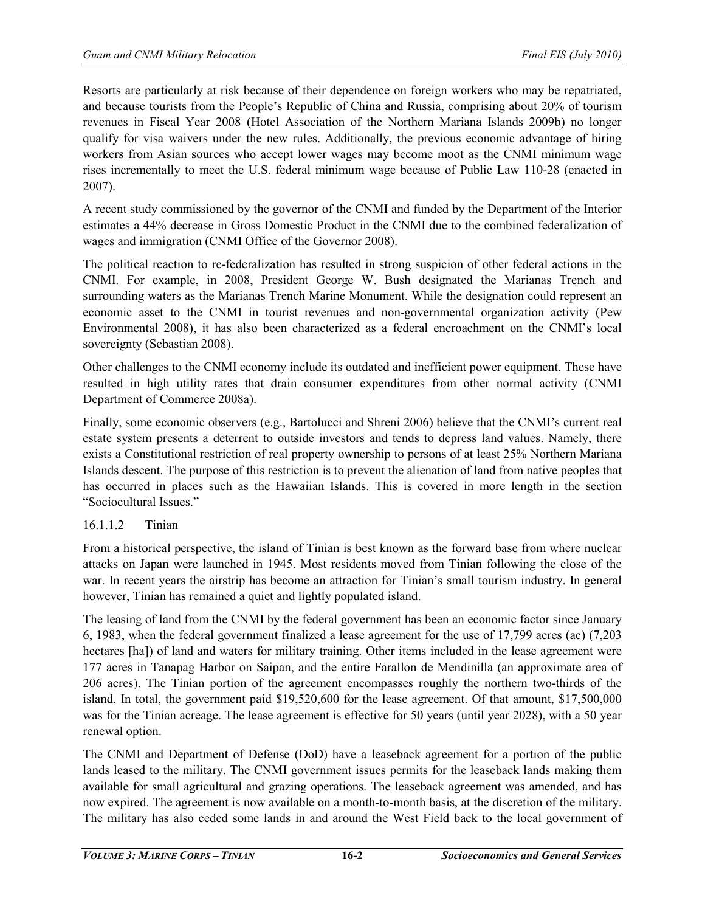Resorts are particularly at risk because of their dependence on foreign workers who may be repatriated, and because tourists from the People's Republic of China and Russia, comprising about 20% of tourism revenues in Fiscal Year 2008 (Hotel Association of the Northern Mariana Islands 2009b) no longer qualify for visa waivers under the new rules. Additionally, the previous economic advantage of hiring workers from Asian sources who accept lower wages may become moot as the CNMI minimum wage rises incrementally to meet the U.S. federal minimum wage because of Public Law 110-28 (enacted in 2007).

A recent study commissioned by the governor of the CNMI and funded by the Department of the Interior estimates a 44% decrease in Gross Domestic Product in the CNMI due to the combined federalization of wages and immigration (CNMI Office of the Governor 2008).

The political reaction to re-federalization has resulted in strong suspicion of other federal actions in the CNMI. For example, in 2008, President George W. Bush designated the Marianas Trench and surrounding waters as the Marianas Trench Marine Monument. While the designation could represent an economic asset to the CNMI in tourist revenues and non-governmental organization activity (Pew Environmental 2008), it has also been characterized as a federal encroachment on the CNMI's local sovereignty (Sebastian 2008).

Other challenges to the CNMI economy include its outdated and inefficient power equipment. These have resulted in high utility rates that drain consumer expenditures from other normal activity (CNMI Department of Commerce 2008a).

Finally, some economic observers (e.g., Bartolucci and Shreni 2006) believe that the CNMI's current real estate system presents a deterrent to outside investors and tends to depress land values. Namely, there exists a Constitutional restriction of real property ownership to persons of at least 25% Northern Mariana Islands descent. The purpose of this restriction is to prevent the alienation of land from native peoples that has occurred in places such as the Hawaiian Islands. This is covered in more length in the section "Sociocultural Issues."

# 16.1.1.2 Tinian

From a historical perspective, the island of Tinian is best known as the forward base from where nuclear attacks on Japan were launched in 1945. Most residents moved from Tinian following the close of the war. In recent years the airstrip has become an attraction for Tinian's small tourism industry. In general however, Tinian has remained a quiet and lightly populated island.

The leasing of land from the CNMI by the federal government has been an economic factor since January 6, 1983, when the federal government finalized a lease agreement for the use of 17,799 acres (ac) (7,203 hectares [ha]) of land and waters for military training. Other items included in the lease agreement were 177 acres in Tanapag Harbor on Saipan, and the entire Farallon de Mendinilla (an approximate area of 206 acres). The Tinian portion of the agreement encompasses roughly the northern two-thirds of the island. In total, the government paid \$19,520,600 for the lease agreement. Of that amount, \$17,500,000 was for the Tinian acreage. The lease agreement is effective for 50 years (until year 2028), with a 50 year renewal option.

The CNMI and Department of Defense (DoD) have a leaseback agreement for a portion of the public lands leased to the military. The CNMI government issues permits for the leaseback lands making them available for small agricultural and grazing operations. The leaseback agreement was amended, and has now expired. The agreement is now available on a month-to-month basis, at the discretion of the military. The military has also ceded some lands in and around the West Field back to the local government of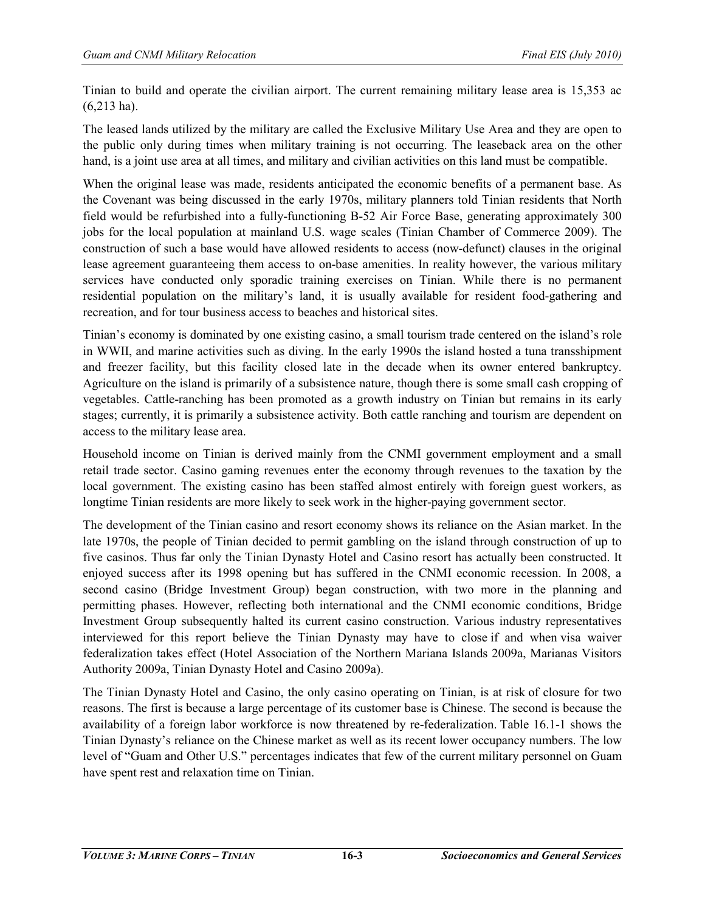Tinian to build and operate the civilian airport. The current remaining military lease area is 15,353 ac (6,213 ha).

The leased lands utilized by the military are called the Exclusive Military Use Area and they are open to the public only during times when military training is not occurring. The leaseback area on the other hand, is a joint use area at all times, and military and civilian activities on this land must be compatible.

When the original lease was made, residents anticipated the economic benefits of a permanent base. As the Covenant was being discussed in the early 1970s, military planners told Tinian residents that North field would be refurbished into a fully-functioning B-52 Air Force Base, generating approximately 300 jobs for the local population at mainland U.S. wage scales (Tinian Chamber of Commerce 2009). The construction of such a base would have allowed residents to access (now-defunct) clauses in the original lease agreement guaranteeing them access to on-base amenities. In reality however, the various military services have conducted only sporadic training exercises on Tinian. While there is no permanent residential population on the military's land, it is usually available for resident food-gathering and recreation, and for tour business access to beaches and historical sites.

Tinian's economy is dominated by one existing casino, a small tourism trade centered on the island's role in WWII, and marine activities such as diving. In the early 1990s the island hosted a tuna transshipment and freezer facility, but this facility closed late in the decade when its owner entered bankruptcy. Agriculture on the island is primarily of a subsistence nature, though there is some small cash cropping of vegetables. Cattle-ranching has been promoted as a growth industry on Tinian but remains in its early stages; currently, it is primarily a subsistence activity. Both cattle ranching and tourism are dependent on access to the military lease area.

Household income on Tinian is derived mainly from the CNMI government employment and a small retail trade sector. Casino gaming revenues enter the economy through revenues to the taxation by the local government. The existing casino has been staffed almost entirely with foreign guest workers, as longtime Tinian residents are more likely to seek work in the higher-paying government sector.

The development of the Tinian casino and resort economy shows its reliance on the Asian market. In the late 1970s, the people of Tinian decided to permit gambling on the island through construction of up to five casinos. Thus far only the Tinian Dynasty Hotel and Casino resort has actually been constructed. It enjoyed success after its 1998 opening but has suffered in the CNMI economic recession. In 2008, a second casino (Bridge Investment Group) began construction, with two more in the planning and permitting phases. However, reflecting both international and the CNMI economic conditions, Bridge Investment Group subsequently halted its current casino construction. Various industry representatives interviewed for this report believe the Tinian Dynasty may have to close if and when visa waiver federalization takes effect (Hotel Association of the Northern Mariana Islands 2009a, Marianas Visitors Authority 2009a, Tinian Dynasty Hotel and Casino 2009a).

The Tinian Dynasty Hotel and Casino, the only casino operating on Tinian, is at risk of closure for two reasons. The first is because a large percentage of its customer base is Chinese. The second is because the availability of a foreign labor workforce is now threatened by re-federalization. Table 16.1-1 shows the Tinian Dynasty's reliance on the Chinese market as well as its recent lower occupancy numbers. The low level of "Guam and Other U.S." percentages indicates that few of the current military personnel on Guam have spent rest and relaxation time on Tinian.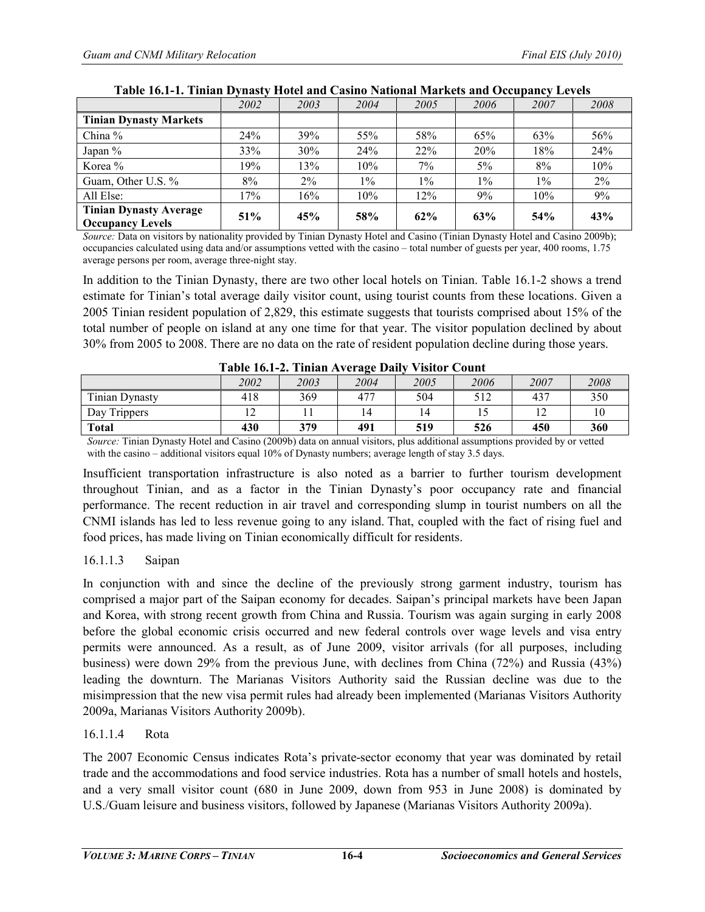|                                                          | 2002 | 2003  | 2004  | 2005  | 2006  | 2007  | 2008  |
|----------------------------------------------------------|------|-------|-------|-------|-------|-------|-------|
| <b>Tinian Dynasty Markets</b>                            |      |       |       |       |       |       |       |
| China %                                                  | 24%  | 39%   | 55%   | 58%   | 65%   | 63%   | 56%   |
| Japan %                                                  | 33%  | 30%   | 24%   | 22%   | 20%   | 18%   | 24%   |
| Korea %                                                  | 19%  | 13%   | 10%   | 7%    | $5\%$ | 8%    | 10%   |
| Guam, Other U.S. %                                       | 8%   | $2\%$ | $1\%$ | $1\%$ | $1\%$ | $1\%$ | $2\%$ |
| All Else:                                                | 17%  | 16%   | 10%   | 12%   | 9%    | 10%   | 9%    |
| <b>Tinian Dynasty Average</b><br><b>Occupancy Levels</b> | 51%  | 45%   | 58%   | 62%   | 63%   | 54%   | 43%   |

#### **Table 16.1-1. Tinian Dynasty Hotel and Casino National Markets and Occupancy Levels**

*Source: Data on visitors by nationality provided by Tinian Dynasty Hotel and Casino (Tinian Dynasty Hotel and Casino 2009b);* occupancies calculated using data and/or assumptions vetted with the casino – total number of guests per year, 400 rooms, 1.75 average persons per room, average three-night stay.

In addition to the Tinian Dynasty, there are two other local hotels on Tinian. Table 16.1-2 shows a trend estimate for Tinian's total average daily visitor count, using tourist counts from these locations. Given a 2005 Tinian resident population of 2,829, this estimate suggests that tourists comprised about 15% of the total number of people on island at any one time for that year. The visitor population declined by about 30% from 2005 to 2008. There are no data on the rate of resident population decline during those years.

| TADIU IV.I-4. THIIAH AVU ALU DAIIY<br>VIMIUI CUUIII |      |      |      |      |      |      |      |
|-----------------------------------------------------|------|------|------|------|------|------|------|
|                                                     | 2002 | 2003 | 2004 | 2005 | 2006 | 2007 | 2008 |
| <b>Tinian Dynasty</b>                               | 418  | 369  | 477  | 504  | 517  | 437  | 350  |
| Day Trippers                                        |      |      |      |      |      |      |      |
| <b>Total</b>                                        | 430  | 379  | 491  | 519  | 526  | 450  | 360  |

| Table 16.1-2. Tinian Average Daily Visitor Count |  |  |  |  |  |
|--------------------------------------------------|--|--|--|--|--|
|--------------------------------------------------|--|--|--|--|--|

*Source:* Tinian Dynasty Hotel and Casino (2009b) data on annual visitors, plus additional assumptions provided by or vetted with the casino – additional visitors equal 10% of Dynasty numbers; average length of stay 3.5 days.

Insufficient transportation infrastructure is also noted as a barrier to further tourism development throughout Tinian, and as a factor in the Tinian Dynasty's poor occupancy rate and financial performance. The recent reduction in air travel and corresponding slump in tourist numbers on all the CNMI islands has led to less revenue going to any island. That, coupled with the fact of rising fuel and food prices, has made living on Tinian economically difficult for residents.

## 16.1.1.3 Saipan

In conjunction with and since the decline of the previously strong garment industry, tourism has comprised a major part of the Saipan economy for decades. Saipan's principal markets have been Japan and Korea, with strong recent growth from China and Russia. Tourism was again surging in early 2008 before the global economic crisis occurred and new federal controls over wage levels and visa entry permits were announced. As a result, as of June 2009, visitor arrivals (for all purposes, including business) were down 29% from the previous June, with declines from China (72%) and Russia (43%) leading the downturn. The Marianas Visitors Authority said the Russian decline was due to the misimpression that the new visa permit rules had already been implemented (Marianas Visitors Authority 2009a, Marianas Visitors Authority 2009b).

## 16.1.1.4 Rota

The 2007 Economic Census indicates Rota's private-sector economy that year was dominated by retail trade and the accommodations and food service industries. Rota has a number of small hotels and hostels, and a very small visitor count (680 in June 2009, down from 953 in June 2008) is dominated by U.S./Guam leisure and business visitors, followed by Japanese (Marianas Visitors Authority 2009a).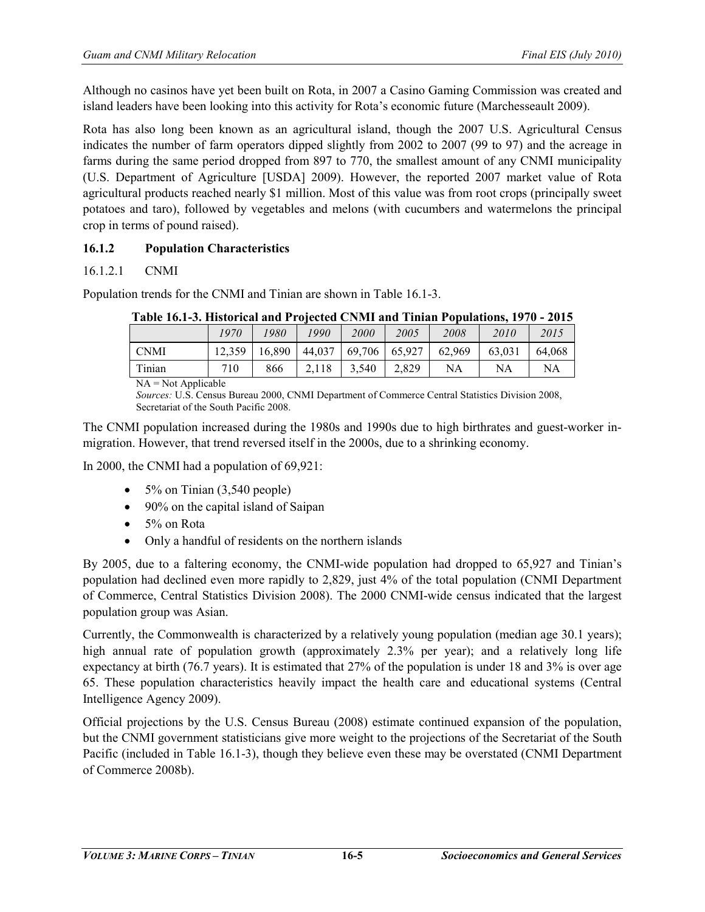Although no casinos have yet been built on Rota, in 2007 a Casino Gaming Commission was created and island leaders have been looking into this activity for Rota's economic future (Marchesseault 2009).

Rota has also long been known as an agricultural island, though the 2007 U.S. Agricultural Census indicates the number of farm operators dipped slightly from 2002 to 2007 (99 to 97) and the acreage in farms during the same period dropped from 897 to 770, the smallest amount of any CNMI municipality (U.S. Department of Agriculture [USDA] 2009). However, the reported 2007 market value of Rota agricultural products reached nearly \$1 million. Most of this value was from root crops (principally sweet potatoes and taro), followed by vegetables and melons (with cucumbers and watermelons the principal crop in terms of pound raised).

# **16.1.2 Population Characteristics**

## 16.1.2.1 CNMI

Population trends for the CNMI and Tinian are shown in Table 16.1-3.

| A WALLY A VIA WI AAAVYYA AYNA WALW A A VIVYYYW. UL ILIAA WALW, A AAASWAA A VIZWANYA VALIT AZ I V |        |        |       |                            |       |        |        |        |
|--------------------------------------------------------------------------------------------------|--------|--------|-------|----------------------------|-------|--------|--------|--------|
|                                                                                                  | 1970   | 1980   | 1990  | <i>2000</i>                | 2005  | 2008   | 2010   | 2015   |
| - CNMI                                                                                           | 12.359 | 16.890 |       | $44,037$   69,706   65,927 |       | 62.969 | 63,031 | 64,068 |
| Tinian                                                                                           | 710    | 866    | 2,118 | 3,540                      | 2,829 | NA     | NA     | NA     |
| $\mathbf{A}$                                                                                     |        |        |       |                            |       |        |        |        |

**Table 16.1-3. Historical and Projected CNMI and Tinian Populations, 1970 - 2015** 

 $NA = Not Applicable$ 

*Sources:* U.S. Census Bureau 2000, CNMI Department of Commerce Central Statistics Division 2008, Secretariat of the South Pacific 2008.

The CNMI population increased during the 1980s and 1990s due to high birthrates and guest-worker inmigration. However, that trend reversed itself in the 2000s, due to a shrinking economy.

In 2000, the CNMI had a population of 69,921:

- $\bullet$  5% on Tinian (3,540 people)
- 90% on the capital island of Saipan
- 5% on Rota
- Only a handful of residents on the northern islands

By 2005, due to a faltering economy, the CNMI-wide population had dropped to 65,927 and Tinian's population had declined even more rapidly to 2,829, just 4% of the total population (CNMI Department of Commerce, Central Statistics Division 2008). The 2000 CNMI-wide census indicated that the largest population group was Asian.

Currently, the Commonwealth is characterized by a relatively young population (median age 30.1 years); high annual rate of population growth (approximately 2.3% per year); and a relatively long life expectancy at birth (76.7 years). It is estimated that 27% of the population is under 18 and 3% is over age 65. These population characteristics heavily impact the health care and educational systems (Central Intelligence Agency 2009).

Official projections by the U.S. Census Bureau (2008) estimate continued expansion of the population, but the CNMI government statisticians give more weight to the projections of the Secretariat of the South Pacific (included in Table 16.1-3), though they believe even these may be overstated (CNMI Department of Commerce 2008b).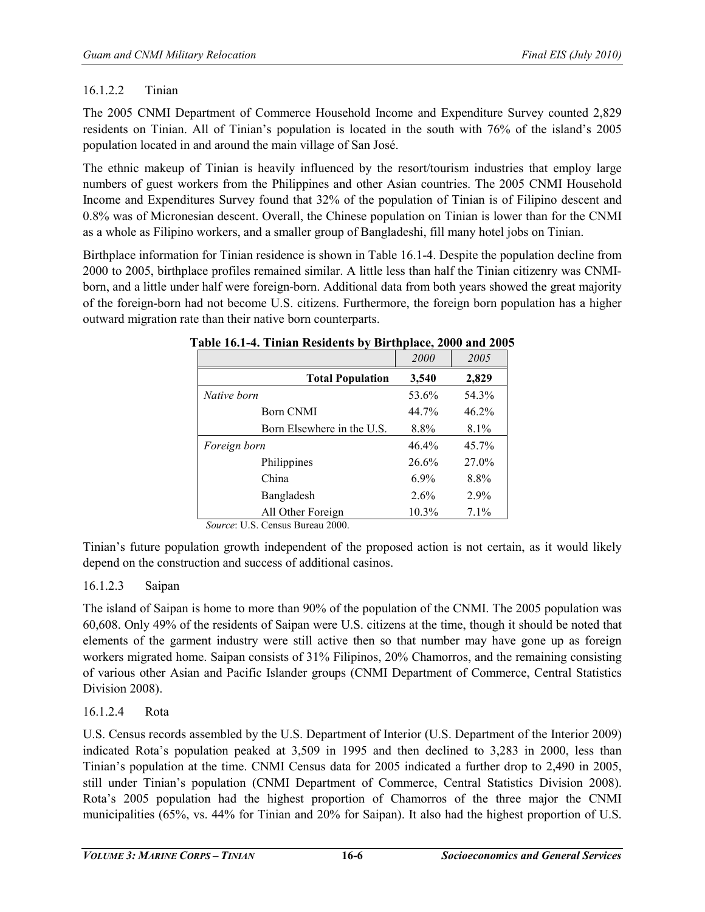## 16.1.2.2 Tinian

The 2005 CNMI Department of Commerce Household Income and Expenditure Survey counted 2,829 residents on Tinian. All of Tinian's population is located in the south with 76% of the island's 2005 population located in and around the main village of San José.

The ethnic makeup of Tinian is heavily influenced by the resort/tourism industries that employ large numbers of guest workers from the Philippines and other Asian countries. The 2005 CNMI Household Income and Expenditures Survey found that 32% of the population of Tinian is of Filipino descent and 0.8% was of Micronesian descent. Overall, the Chinese population on Tinian is lower than for the CNMI as a whole as Filipino workers, and a smaller group of Bangladeshi, fill many hotel jobs on Tinian.

Birthplace information for Tinian residence is shown in Table 16.1-4. Despite the population decline from 2000 to 2005, birthplace profiles remained similar. A little less than half the Tinian citizenry was CNMIborn, and a little under half were foreign-born. Additional data from both years showed the great majority of the foreign-born had not become U.S. citizens. Furthermore, the foreign born population has a higher outward migration rate than their native born counterparts.

|                            | 2000    | 2005     |
|----------------------------|---------|----------|
| <b>Total Population</b>    | 3,540   | 2,829    |
| Native born                | 53.6%   | 54.3%    |
| Born CNMI                  | 44.7%   | 46.2%    |
| Born Elsewhere in the U.S. | 8.8%    | 8.1%     |
| Foreign born               | 46.4%   | $45.7\%$ |
| Philippines                | 26.6%   | 27.0%    |
| China                      | $6.9\%$ | 8.8%     |
| Bangladesh                 | 2.6%    | 2.9%     |
| All Other Foreign          | 10.3%   | 7.1%     |

#### **Table 16.1-4. Tinian Residents by Birthplace, 2000 and 2005**

*Source*: U.S. Census Bureau 2000.

Tinian's future population growth independent of the proposed action is not certain, as it would likely depend on the construction and success of additional casinos.

## 16.1.2.3 Saipan

The island of Saipan is home to more than 90% of the population of the CNMI. The 2005 population was 60,608. Only 49% of the residents of Saipan were U.S. citizens at the time, though it should be noted that elements of the garment industry were still active then so that number may have gone up as foreign workers migrated home. Saipan consists of 31% Filipinos, 20% Chamorros, and the remaining consisting of various other Asian and Pacific Islander groups (CNMI Department of Commerce, Central Statistics Division 2008).

# 16.1.2.4 Rota

U.S. Census records assembled by the U.S. Department of Interior (U.S. Department of the Interior 2009) indicated Rota's population peaked at 3,509 in 1995 and then declined to 3,283 in 2000, less than Tinian's population at the time. CNMI Census data for 2005 indicated a further drop to 2,490 in 2005, still under Tinian's population (CNMI Department of Commerce, Central Statistics Division 2008). Rota's 2005 population had the highest proportion of Chamorros of the three major the CNMI municipalities (65%, vs. 44% for Tinian and 20% for Saipan). It also had the highest proportion of U.S.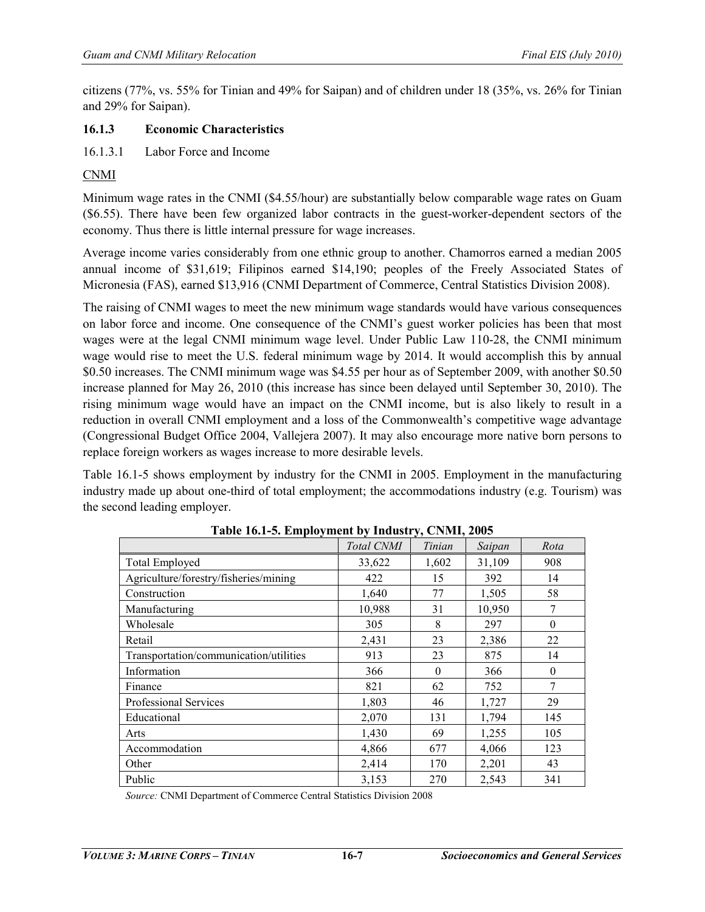citizens (77%, vs. 55% for Tinian and 49% for Saipan) and of children under 18 (35%, vs. 26% for Tinian and 29% for Saipan).

## **16.1.3 Economic Characteristics**

16.1.3.1 Labor Force and Income

## CNMI

Minimum wage rates in the CNMI (\$4.55/hour) are substantially below comparable wage rates on Guam (\$6.55). There have been few organized labor contracts in the guest-worker-dependent sectors of the economy. Thus there is little internal pressure for wage increases.

Average income varies considerably from one ethnic group to another. Chamorros earned a median 2005 annual income of \$31,619; Filipinos earned \$14,190; peoples of the Freely Associated States of Micronesia (FAS), earned \$13,916 (CNMI Department of Commerce, Central Statistics Division 2008).

The raising of CNMI wages to meet the new minimum wage standards would have various consequences on labor force and income. One consequence of the CNMI's guest worker policies has been that most wages were at the legal CNMI minimum wage level. Under Public Law 110-28, the CNMI minimum wage would rise to meet the U.S. federal minimum wage by 2014. It would accomplish this by annual \$0.50 increases. The CNMI minimum wage was \$4.55 per hour as of September 2009, with another \$0.50 increase planned for May 26, 2010 (this increase has since been delayed until September 30, 2010). The rising minimum wage would have an impact on the CNMI income, but is also likely to result in a reduction in overall CNMI employment and a loss of the Commonwealth's competitive wage advantage (Congressional Budget Office 2004, Vallejera 2007). It may also encourage more native born persons to replace foreign workers as wages increase to more desirable levels.

Table 16.1-5 shows employment by industry for the CNMI in 2005. Employment in the manufacturing industry made up about one-third of total employment; the accommodations industry (e.g. Tourism) was the second leading employer.

| $\frac{1}{2}$ and $\frac{1}{2}$ and $\frac{1}{2}$ and $\frac{1}{2}$ and $\frac{1}{2}$ and $\frac{1}{2}$ and $\frac{1}{2}$ and $\frac{1}{2}$ and $\frac{1}{2}$ and $\frac{1}{2}$ and $\frac{1}{2}$ and $\frac{1}{2}$ and $\frac{1}{2}$ and $\frac{1}{2}$ and $\frac{1}{2}$ and $\frac{1}{2}$ a |            |          |        |          |  |  |
|-----------------------------------------------------------------------------------------------------------------------------------------------------------------------------------------------------------------------------------------------------------------------------------------------|------------|----------|--------|----------|--|--|
|                                                                                                                                                                                                                                                                                               | Total CNMI | Tinian   | Saipan | Rota     |  |  |
| <b>Total Employed</b>                                                                                                                                                                                                                                                                         | 33,622     | 1,602    | 31,109 | 908      |  |  |
| Agriculture/forestry/fisheries/mining                                                                                                                                                                                                                                                         | 422        | 15       | 392    | 14       |  |  |
| Construction                                                                                                                                                                                                                                                                                  | 1,640      | 77       | 1,505  | 58       |  |  |
| Manufacturing                                                                                                                                                                                                                                                                                 | 10,988     | 31       | 10,950 | 7        |  |  |
| Wholesale                                                                                                                                                                                                                                                                                     | 305        | 8        | 297    | $\theta$ |  |  |
| Retail                                                                                                                                                                                                                                                                                        | 2,431      | 23       | 2,386  | 22       |  |  |
| Transportation/communication/utilities                                                                                                                                                                                                                                                        | 913        | 23       | 875    | 14       |  |  |
| Information                                                                                                                                                                                                                                                                                   | 366        | $\Omega$ | 366    | $\Omega$ |  |  |
| Finance                                                                                                                                                                                                                                                                                       | 821        | 62       | 752    | 7        |  |  |
| <b>Professional Services</b>                                                                                                                                                                                                                                                                  | 1,803      | 46       | 1,727  | 29       |  |  |
| Educational                                                                                                                                                                                                                                                                                   | 2,070      | 131      | 1,794  | 145      |  |  |
| Arts                                                                                                                                                                                                                                                                                          | 1,430      | 69       | 1,255  | 105      |  |  |
| Accommodation                                                                                                                                                                                                                                                                                 | 4,866      | 677      | 4,066  | 123      |  |  |
| Other                                                                                                                                                                                                                                                                                         | 2,414      | 170      | 2,201  | 43       |  |  |
| Public                                                                                                                                                                                                                                                                                        | 3,153      | 270      | 2,543  | 341      |  |  |

|  | Table 16.1-5. Employment by Industry, CNMI, 2005 |  |
|--|--------------------------------------------------|--|
|  |                                                  |  |

*Source:* CNMI Department of Commerce Central Statistics Division 2008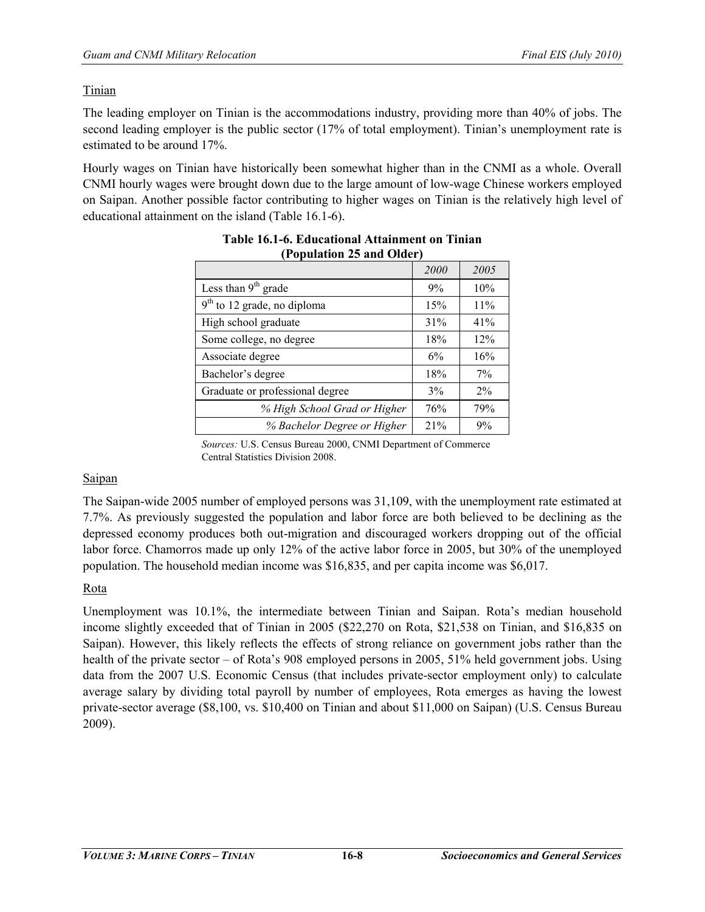## Tinian

The leading employer on Tinian is the accommodations industry, providing more than 40% of jobs. The second leading employer is the public sector (17% of total employment). Tinian's unemployment rate is estimated to be around 17%.

Hourly wages on Tinian have historically been somewhat higher than in the CNMI as a whole. Overall CNMI hourly wages were brought down due to the large amount of low-wage Chinese workers employed on Saipan. Another possible factor contributing to higher wages on Tinian is the relatively high level of educational attainment on the island (Table 16.1-6).

|                                 | 2000 | 2005  |
|---------------------------------|------|-------|
| Less than $9th$ grade           | 9%   | 10%   |
| $9th$ to 12 grade, no diploma   | 15%  | 11%   |
| High school graduate            | 31%  | 41%   |
| Some college, no degree         | 18%  | 12%   |
| Associate degree                | 6%   | 16%   |
| Bachelor's degree               | 18%  | $7\%$ |
| Graduate or professional degree | 3%   | $2\%$ |
| % High School Grad or Higher    | 76%  | 79%   |
| % Bachelor Degree or Higher     | 21%  | 9%    |

#### **Table 16.1-6. Educational Attainment on Tinian (Population 25 and Older)**

*Sources:* U.S. Census Bureau 2000, CNMI Department of Commerce Central Statistics Division 2008.

## Saipan

The Saipan-wide 2005 number of employed persons was 31,109, with the unemployment rate estimated at 7.7%. As previously suggested the population and labor force are both believed to be declining as the depressed economy produces both out-migration and discouraged workers dropping out of the official labor force. Chamorros made up only 12% of the active labor force in 2005, but 30% of the unemployed population. The household median income was \$16,835, and per capita income was \$6,017.

# Rota

Unemployment was 10.1%, the intermediate between Tinian and Saipan. Rota's median household income slightly exceeded that of Tinian in 2005 (\$22,270 on Rota, \$21,538 on Tinian, and \$16,835 on Saipan). However, this likely reflects the effects of strong reliance on government jobs rather than the health of the private sector – of Rota's 908 employed persons in 2005, 51% held government jobs. Using data from the 2007 U.S. Economic Census (that includes private-sector employment only) to calculate average salary by dividing total payroll by number of employees, Rota emerges as having the lowest private-sector average (\$8,100, vs. \$10,400 on Tinian and about \$11,000 on Saipan) (U.S. Census Bureau 2009).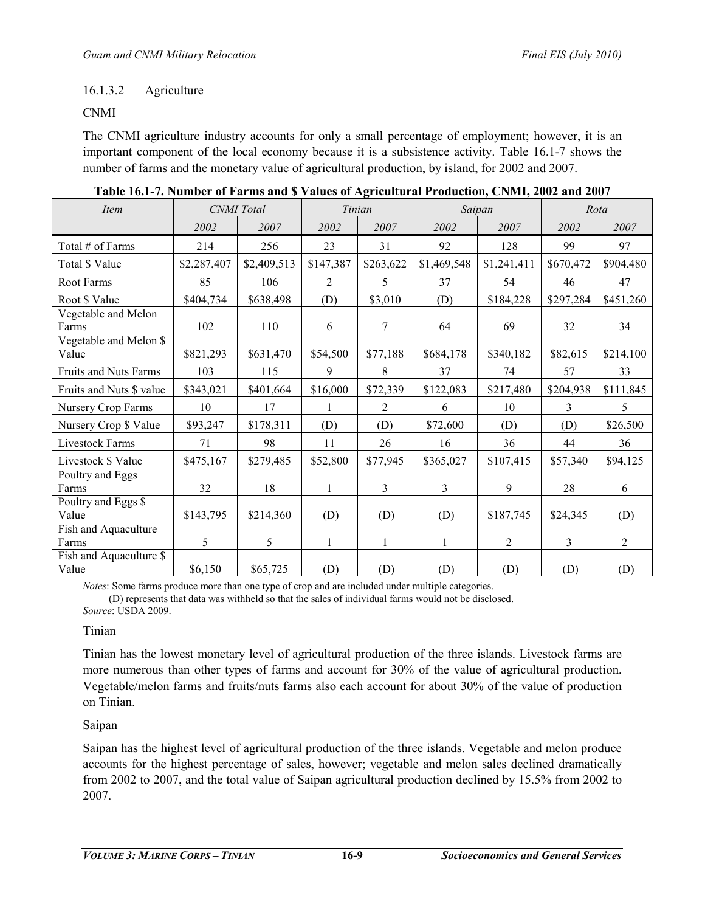## 16.1.3.2 Agriculture

## CNMI

The CNMI agriculture industry accounts for only a small percentage of employment; however, it is an important component of the local economy because it is a subsistence activity. Table 16.1-7 shows the number of farms and the monetary value of agricultural production, by island, for 2002 and 2007.

| <i>Item</i>                      |             | <b>CNMI</b> Total | Tinian    |           | Saipan      |                | Rota      |                |
|----------------------------------|-------------|-------------------|-----------|-----------|-------------|----------------|-----------|----------------|
|                                  | 2002        | 2007              | 2002      | 2007      | 2002        | 2007           | 2002      | 2007           |
| Total # of Farms                 | 214         | 256               | 23        | 31        | 92          | 128            | 99        | 97             |
| Total \$ Value                   | \$2,287,407 | \$2,409,513       | \$147,387 | \$263,622 | \$1,469,548 | \$1,241,411    | \$670,472 | \$904,480      |
| Root Farms                       | 85          | 106               | 2         | 5         | 37          | 54             | 46        | 47             |
| Root \$ Value                    | \$404,734   | \$638,498         | (D)       | \$3,010   | (D)         | \$184,228      | \$297,284 | \$451,260      |
| Vegetable and Melon<br>Farms     | 102         | 110               | 6         | 7         | 64          | 69             | 32        | 34             |
| Vegetable and Melon \$<br>Value  | \$821,293   | \$631,470         | \$54,500  | \$77,188  | \$684,178   | \$340,182      | \$82,615  | \$214,100      |
| Fruits and Nuts Farms            | 103         | 115               | 9         | 8         | 37          | 74             | 57        | 33             |
| Fruits and Nuts \$ value         | \$343,021   | \$401,664         | \$16,000  | \$72,339  | \$122,083   | \$217,480      | \$204,938 | \$111,845      |
| Nursery Crop Farms               | 10          | 17                |           | 2         | 6           | 10             | 3         | 5              |
| Nursery Crop \$ Value            | \$93,247    | \$178,311         | (D)       | (D)       | \$72,600    | (D)            | (D)       | \$26,500       |
| Livestock Farms                  | 71          | 98                | 11        | 26        | 16          | 36             | 44        | 36             |
| Livestock \$ Value               | \$475,167   | \$279,485         | \$52,800  | \$77,945  | \$365,027   | \$107,415      | \$57,340  | \$94,125       |
| Poultry and Eggs<br>Farms        | 32          | 18                | 1         | 3         | 3           | 9              | 28        | 6              |
| Poultry and Eggs \$<br>Value     | \$143,795   | \$214,360         | (D)       | (D)       | (D)         | \$187,745      | \$24,345  | (D)            |
| Fish and Aquaculture<br>Farms    | 5           | 5                 | 1         | 1         |             | $\overline{2}$ | 3         | $\overline{2}$ |
| Fish and Aquaculture \$<br>Value | \$6,150     | \$65,725          | (D)       | (D)       | (D)         | (D)            | (D)       | (D)            |

| Table 16.1-7. Number of Farms and \$ Values of Agricultural Production, CNMI, 2002 and 2007 |  |  |
|---------------------------------------------------------------------------------------------|--|--|
|                                                                                             |  |  |

*Notes*: Some farms produce more than one type of crop and are included under multiple categories. (D) represents that data was withheld so that the sales of individual farms would not be disclosed. *Source*: USDA 2009.

## Tinian

Tinian has the lowest monetary level of agricultural production of the three islands. Livestock farms are more numerous than other types of farms and account for 30% of the value of agricultural production. Vegetable/melon farms and fruits/nuts farms also each account for about 30% of the value of production on Tinian.

## Saipan

Saipan has the highest level of agricultural production of the three islands. Vegetable and melon produce accounts for the highest percentage of sales, however; vegetable and melon sales declined dramatically from 2002 to 2007, and the total value of Saipan agricultural production declined by 15.5% from 2002 to 2007.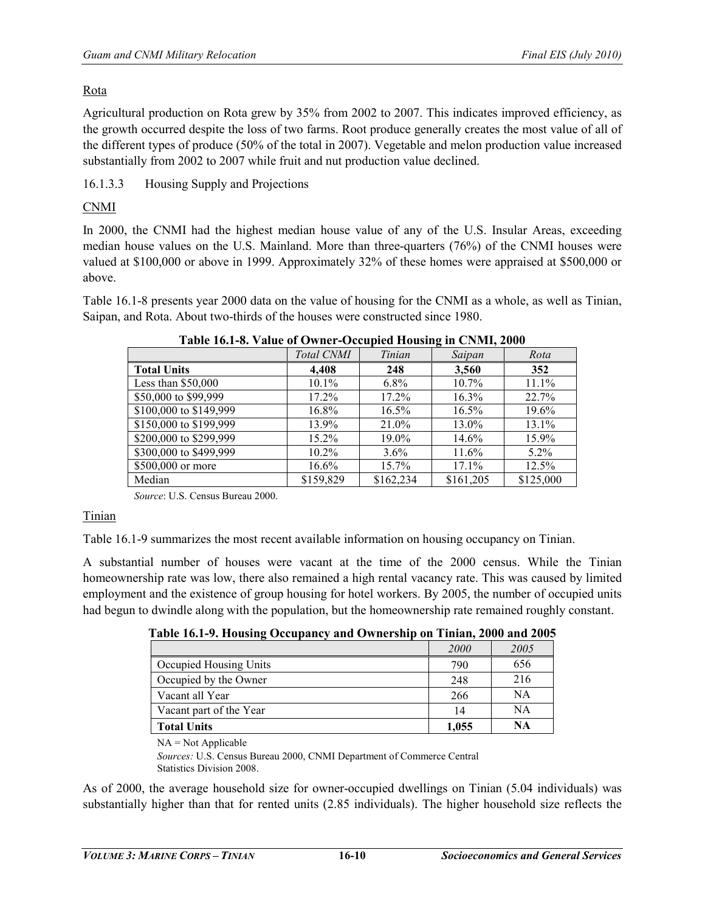## Rota

Agricultural production on Rota grew by 35% from 2002 to 2007. This indicates improved efficiency, as the growth occurred despite the loss of two farms. Root produce generally creates the most value of all of the different types of produce (50% of the total in 2007). Vegetable and melon production value increased substantially from 2002 to 2007 while fruit and nut production value declined.

16.1.3.3 Housing Supply and Projections

# CNMI

In 2000, the CNMI had the highest median house value of any of the U.S. Insular Areas, exceeding median house values on the U.S. Mainland. More than three-quarters (76%) of the CNMI houses were valued at \$100,000 or above in 1999. Approximately 32% of these homes were appraised at \$500,000 or above.

Table 16.1-8 presents year 2000 data on the value of housing for the CNMI as a whole, as well as Tinian, Saipan, and Rota. About two-thirds of the houses were constructed since 1980.

| $\frac{1}{2}$ and $\frac{1}{2}$ . There is the state of $\frac{1}{2}$ and $\frac{1}{2}$ are $\frac{1}{2}$ . The state of $\frac{1}{2}$ |            |           |           |           |  |  |  |
|----------------------------------------------------------------------------------------------------------------------------------------|------------|-----------|-----------|-----------|--|--|--|
|                                                                                                                                        | Total CNMI | Tinian    | Saipan    | Rota      |  |  |  |
| <b>Total Units</b>                                                                                                                     | 4.408      | 248       | 3,560     | 352       |  |  |  |
| Less than $$50,000$                                                                                                                    | $10.1\%$   | 6.8%      | 10.7%     | 11.1%     |  |  |  |
| \$50,000 to \$99,999                                                                                                                   | 17.2%      | $17.2\%$  | 16.3%     | 22.7%     |  |  |  |
| \$100,000 to \$149,999                                                                                                                 | 16.8%      | 16.5%     | $16.5\%$  | 19.6%     |  |  |  |
| \$150,000 to \$199,999                                                                                                                 | 13.9%      | 21.0%     | 13.0%     | 13.1%     |  |  |  |
| \$200,000 to \$299,999                                                                                                                 | $15.2\%$   | 19.0%     | 14.6%     | 15.9%     |  |  |  |
| \$300,000 to \$499,999                                                                                                                 | $10.2\%$   | $3.6\%$   | 11.6%     | $5.2\%$   |  |  |  |
| \$500,000 or more                                                                                                                      | $16.6\%$   | 15.7%     | 17.1%     | 12.5%     |  |  |  |
| Median                                                                                                                                 | \$159,829  | \$162,234 | \$161,205 | \$125,000 |  |  |  |

## **Table 16.1-8. Value of Owner-Occupied Housing in CNMI, 2000**

*Source*: U.S. Census Bureau 2000.

## Tinian

Table 16.1-9 summarizes the most recent available information on housing occupancy on Tinian.

A substantial number of houses were vacant at the time of the 2000 census. While the Tinian homeownership rate was low, there also remained a high rental vacancy rate. This was caused by limited employment and the existence of group housing for hotel workers. By 2005, the number of occupied units had begun to dwindle along with the population, but the homeownership rate remained roughly constant.

| Table To.1-2. Housing Occupancy and Ownership on Thildin, 2000 and 2005 |             |      |
|-------------------------------------------------------------------------|-------------|------|
|                                                                         | <i>2000</i> | 2005 |
| Occupied Housing Units                                                  | 790         | 656  |
| Occupied by the Owner                                                   | 248         | 216  |
| Vacant all Year                                                         | 266         | NA   |
| Vacant part of the Year                                                 | 14          | NA   |
| <b>Total Units</b>                                                      | 1.055       | NA   |

**Table 16.1-9. Housing Occupancy and Ownership on Tinian, 2000 and 2005**

 $NA = Not$  Applicable

*Sources:* U.S. Census Bureau 2000, CNMI Department of Commerce Central Statistics Division 2008.

As of 2000, the average household size for owner-occupied dwellings on Tinian (5.04 individuals) was substantially higher than that for rented units (2.85 individuals). The higher household size reflects the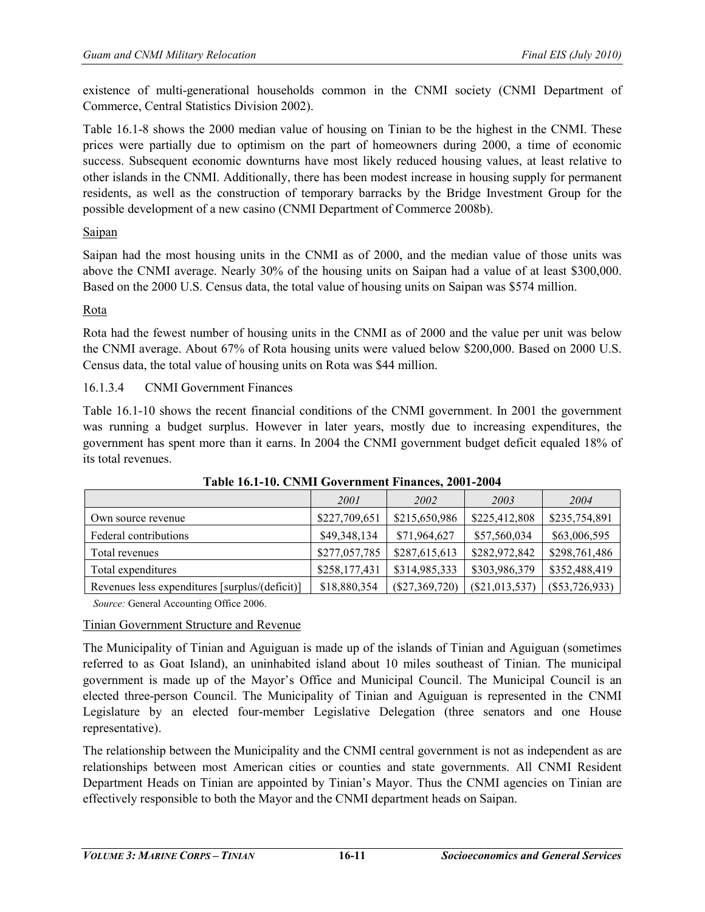existence of multi-generational households common in the CNMI society (CNMI Department of Commerce, Central Statistics Division 2002).

Table 16.1-8 shows the 2000 median value of housing on Tinian to be the highest in the CNMI. These prices were partially due to optimism on the part of homeowners during 2000, a time of economic success. Subsequent economic downturns have most likely reduced housing values, at least relative to other islands in the CNMI. Additionally, there has been modest increase in housing supply for permanent residents, as well as the construction of temporary barracks by the Bridge Investment Group for the possible development of a new casino (CNMI Department of Commerce 2008b).

## Saipan

Saipan had the most housing units in the CNMI as of 2000, and the median value of those units was above the CNMI average. Nearly 30% of the housing units on Saipan had a value of at least \$300,000. Based on the 2000 U.S. Census data, the total value of housing units on Saipan was \$574 million.

## Rota

Rota had the fewest number of housing units in the CNMI as of 2000 and the value per unit was below the CNMI average. About 67% of Rota housing units were valued below \$200,000. Based on 2000 U.S. Census data, the total value of housing units on Rota was \$44 million.

16.1.3.4 CNMI Government Finances

Table 16.1-10 shows the recent financial conditions of the CNMI government. In 2001 the government was running a budget surplus. However in later years, mostly due to increasing expenditures, the government has spent more than it earns. In 2004 the CNMI government budget deficit equaled 18% of its total revenues.

|                                                | 2001          | 2002             | 2003            | 2004             |
|------------------------------------------------|---------------|------------------|-----------------|------------------|
| Own source revenue                             | \$227,709,651 | \$215,650,986    | \$225,412,808   | \$235,754,891    |
| Federal contributions                          | \$49,348,134  | \$71,964,627     | \$57,560,034    | \$63,006,595     |
| Total revenues                                 | \$277,057,785 | \$287,615,613    | \$282,972,842   | \$298,761,486    |
| Total expenditures                             | \$258,177,431 | \$314,985,333    | \$303,986,379   | \$352,488,419    |
| Revenues less expenditures [surplus/(deficit)] | \$18,880,354  | $(\$27,369,720)$ | (S21, 013, 537) | $(\$53,726,933)$ |

**Table 16.1-10. CNMI Government Finances, 2001-2004** 

*Source:* General Accounting Office 2006.

# Tinian Government Structure and Revenue

The Municipality of Tinian and Aguiguan is made up of the islands of Tinian and Aguiguan (sometimes referred to as Goat Island), an uninhabited island about 10 miles southeast of Tinian. The municipal government is made up of the Mayor's Office and Municipal Council. The Municipal Council is an elected three-person Council. The Municipality of Tinian and Aguiguan is represented in the CNMI Legislature by an elected four-member Legislative Delegation (three senators and one House representative).

The relationship between the Municipality and the CNMI central government is not as independent as are relationships between most American cities or counties and state governments. All CNMI Resident Department Heads on Tinian are appointed by Tinian's Mayor. Thus the CNMI agencies on Tinian are effectively responsible to both the Mayor and the CNMI department heads on Saipan.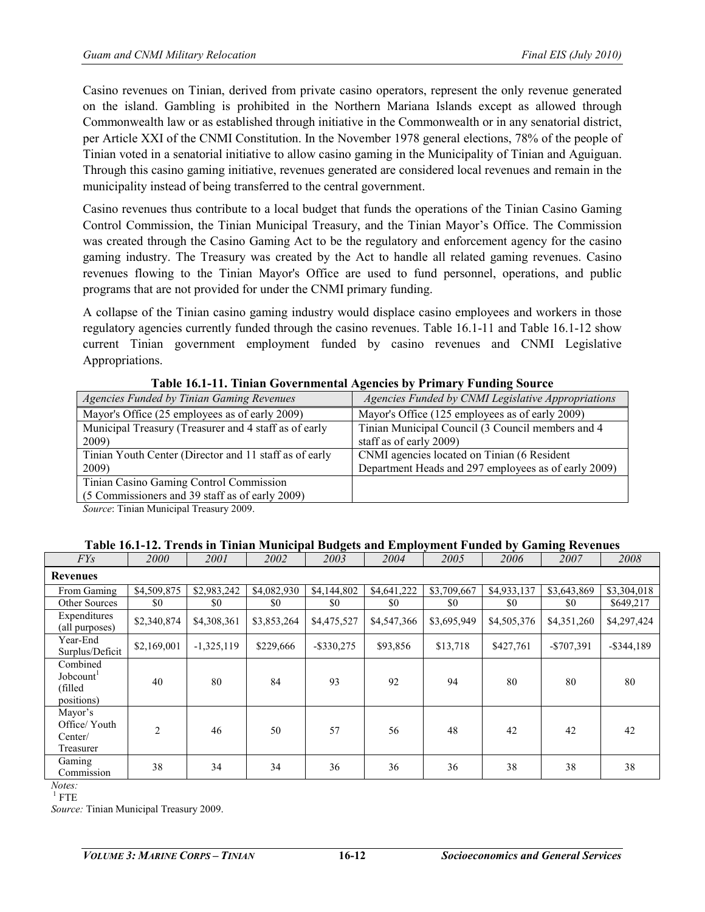Casino revenues on Tinian, derived from private casino operators, represent the only revenue generated on the island. Gambling is prohibited in the Northern Mariana Islands except as allowed through Commonwealth law or as established through initiative in the Commonwealth or in any senatorial district, per Article XXI of the CNMI Constitution. In the November 1978 general elections, 78% of the people of Tinian voted in a senatorial initiative to allow casino gaming in the Municipality of Tinian and Aguiguan. Through this casino gaming initiative, revenues generated are considered local revenues and remain in the municipality instead of being transferred to the central government.

Casino revenues thus contribute to a local budget that funds the operations of the Tinian Casino Gaming Control Commission, the Tinian Municipal Treasury, and the Tinian Mayor's Office. The Commission was created through the Casino Gaming Act to be the regulatory and enforcement agency for the casino gaming industry. The Treasury was created by the Act to handle all related gaming revenues. Casino revenues flowing to the Tinian Mayor's Office are used to fund personnel, operations, and public programs that are not provided for under the CNMI primary funding.

A collapse of the Tinian casino gaming industry would displace casino employees and workers in those regulatory agencies currently funded through the casino revenues. Table 16.1-11 and Table 16.1-12 show current Tinian government employment funded by casino revenues and CNMI Legislative Appropriations.

| <b>Agencies Funded by Tinian Gaming Revenues</b>       | Agencies Funded by CNMI Legislative Appropriations   |
|--------------------------------------------------------|------------------------------------------------------|
| Mayor's Office (25 employees as of early 2009)         | Mayor's Office (125 employees as of early 2009)      |
| Municipal Treasury (Treasurer and 4 staff as of early  | Tinian Municipal Council (3 Council members and 4    |
| 2009)                                                  | staff as of early 2009)                              |
| Tinian Youth Center (Director and 11 staff as of early | CNMI agencies located on Tinian (6 Resident          |
| 2009)                                                  | Department Heads and 297 employees as of early 2009) |
| Tinian Casino Gaming Control Commission                |                                                      |
| (5 Commissioners and 39 staff as of early 2009)        |                                                      |

**Table 16.1-11. Tinian Governmental Agencies by Primary Funding Source**

*Source*: Tinian Municipal Treasury 2009.

# **Table 16.1-12. Trends in Tinian Municipal Budgets and Employment Funded by Gaming Revenues**

| FYS                                                         | <i>2000</i>    | 2001         | 2002        | 2003          | 2004        | 2005        | 2006        | 2007        | 2008          |
|-------------------------------------------------------------|----------------|--------------|-------------|---------------|-------------|-------------|-------------|-------------|---------------|
| <b>Revenues</b>                                             |                |              |             |               |             |             |             |             |               |
| From Gaming                                                 | \$4,509,875    | \$2,983,242  | \$4,082,930 | \$4,144,802   | \$4,641,222 | \$3,709,667 | \$4,933,137 | \$3,643,869 | \$3,304,018   |
| <b>Other Sources</b>                                        | \$0            | \$0          | \$0         | \$0           | \$0         | \$0         | \$0         | \$0         | \$649,217     |
| Expenditures<br>(all purposes)                              | \$2,340,874    | \$4,308,361  | \$3,853,264 | \$4,475,527   | \$4,547,366 | \$3,695,949 | \$4,505,376 | \$4,351,260 | \$4,297,424   |
| Year-End<br>Surplus/Deficit                                 | \$2,169,001    | $-1,325,119$ | \$229,666   | $-$ \$330,275 | \$93,856    | \$13,718    | \$427,761   | $-$707,391$ | $-$ \$344,189 |
| Combined<br>Jobcount <sup>1</sup><br>(filled)<br>positions) | 40             | 80           | 84          | 93            | 92          | 94          | 80          | 80          | 80            |
| Mayor's<br>Office/ Youth<br>Center/<br>Treasurer            | $\overline{2}$ | 46           | 50          | 57            | 56          | 48          | 42          | 42          | 42            |
| Gaming<br>Commission                                        | 38             | 34           | 34          | 36            | 36          | 36          | 38          | 38          | 38            |

*Notes:*  $1$  FTF

*Source:* Tinian Municipal Treasury 2009.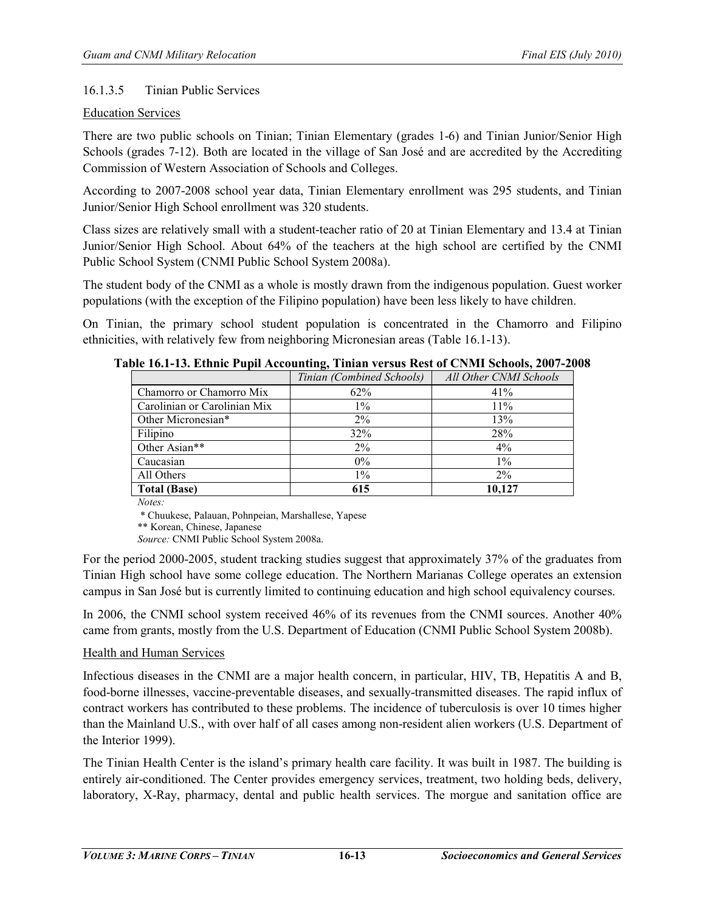## 16.1.3.5 Tinian Public Services

## Education Services

There are two public schools on Tinian; Tinian Elementary (grades 1-6) and Tinian Junior/Senior High Schools (grades 7-12). Both are located in the village of San José and are accredited by the Accrediting Commission of Western Association of Schools and Colleges.

According to 2007-2008 school year data, Tinian Elementary enrollment was 295 students, and Tinian Junior/Senior High School enrollment was 320 students.

Class sizes are relatively small with a student-teacher ratio of 20 at Tinian Elementary and 13.4 at Tinian Junior/Senior High School. About 64% of the teachers at the high school are certified by the CNMI Public School System (CNMI Public School System 2008a).

The student body of the CNMI as a whole is mostly drawn from the indigenous population. Guest worker populations (with the exception of the Filipino population) have been less likely to have children.

On Tinian, the primary school student population is concentrated in the Chamorro and Filipino ethnicities, with relatively few from neighboring Micronesian areas (Table 16.1-13).

|                              | Tinian (Combined Schools) | All Other CNMI Schools |
|------------------------------|---------------------------|------------------------|
| Chamorro or Chamorro Mix     | 62%                       | 41%                    |
| Carolinian or Carolinian Mix | $1\%$                     | 11%                    |
| Other Micronesian*           | $2\%$                     | 13%                    |
| Filipino                     | 32%                       | 28%                    |
| Other Asian**                | $2\%$                     | $4\%$                  |
| Caucasian                    | $0\%$                     | $1\%$                  |
| All Others                   | $1\%$                     | $2\%$                  |
| <b>Total (Base)</b>          | 615                       | 10.127                 |

**Table 16.1-13. Ethnic Pupil Accounting, Tinian versus Rest of CNMI Schools, 2007-2008** 

*Notes:*

\* Chuukese, Palauan, Pohnpeian, Marshallese, Yapese

\*\* Korean, Chinese, Japanese

*Source:* CNMI Public School System 2008a.

For the period 2000-2005, student tracking studies suggest that approximately 37% of the graduates from Tinian High school have some college education. The Northern Marianas College operates an extension campus in San José but is currently limited to continuing education and high school equivalency courses.

In 2006, the CNMI school system received 46% of its revenues from the CNMI sources. Another 40% came from grants, mostly from the U.S. Department of Education (CNMI Public School System 2008b).

## Health and Human Services

Infectious diseases in the CNMI are a major health concern, in particular, HIV, TB, Hepatitis A and B, food-borne illnesses, vaccine-preventable diseases, and sexually-transmitted diseases. The rapid influx of contract workers has contributed to these problems. The incidence of tuberculosis is over 10 times higher than the Mainland U.S., with over half of all cases among non-resident alien workers (U.S. Department of the Interior 1999).

The Tinian Health Center is the island's primary health care facility. It was built in 1987. The building is entirely air-conditioned. The Center provides emergency services, treatment, two holding beds, delivery, laboratory, X-Ray, pharmacy, dental and public health services. The morgue and sanitation office are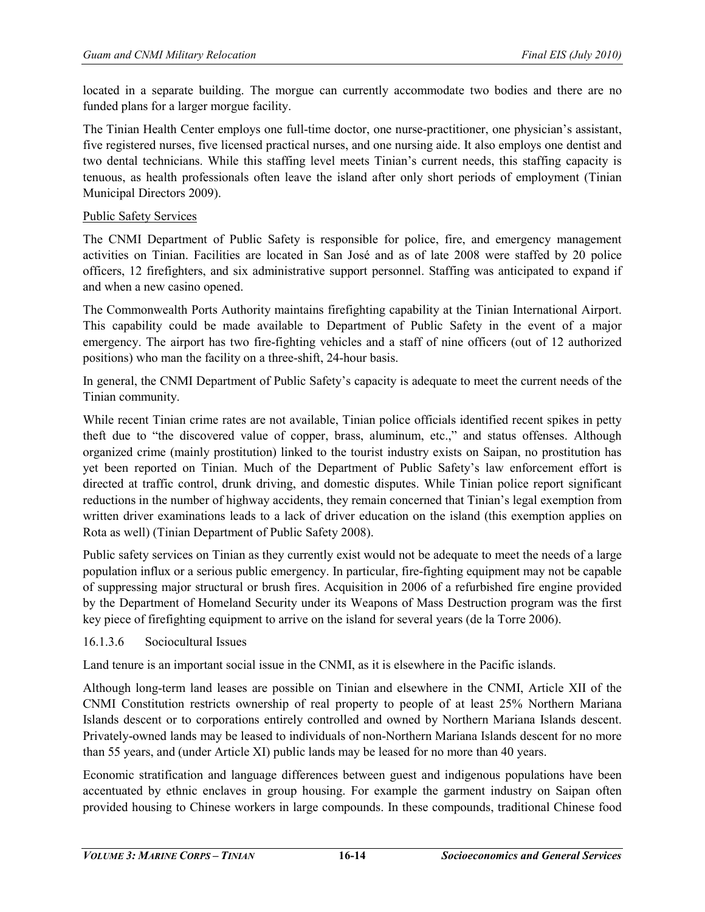located in a separate building. The morgue can currently accommodate two bodies and there are no funded plans for a larger morgue facility.

The Tinian Health Center employs one full-time doctor, one nurse-practitioner, one physician's assistant, five registered nurses, five licensed practical nurses, and one nursing aide. It also employs one dentist and two dental technicians. While this staffing level meets Tinian's current needs, this staffing capacity is tenuous, as health professionals often leave the island after only short periods of employment (Tinian Municipal Directors 2009).

## Public Safety Services

The CNMI Department of Public Safety is responsible for police, fire, and emergency management activities on Tinian. Facilities are located in San José and as of late 2008 were staffed by 20 police officers, 12 firefighters, and six administrative support personnel. Staffing was anticipated to expand if and when a new casino opened.

The Commonwealth Ports Authority maintains firefighting capability at the Tinian International Airport. This capability could be made available to Department of Public Safety in the event of a major emergency. The airport has two fire-fighting vehicles and a staff of nine officers (out of 12 authorized positions) who man the facility on a three-shift, 24-hour basis.

In general, the CNMI Department of Public Safety's capacity is adequate to meet the current needs of the Tinian community.

While recent Tinian crime rates are not available, Tinian police officials identified recent spikes in petty theft due to "the discovered value of copper, brass, aluminum, etc.," and status offenses. Although organized crime (mainly prostitution) linked to the tourist industry exists on Saipan, no prostitution has yet been reported on Tinian. Much of the Department of Public Safety's law enforcement effort is directed at traffic control, drunk driving, and domestic disputes. While Tinian police report significant reductions in the number of highway accidents, they remain concerned that Tinian's legal exemption from written driver examinations leads to a lack of driver education on the island (this exemption applies on Rota as well) (Tinian Department of Public Safety 2008).

Public safety services on Tinian as they currently exist would not be adequate to meet the needs of a large population influx or a serious public emergency. In particular, fire-fighting equipment may not be capable of suppressing major structural or brush fires. Acquisition in 2006 of a refurbished fire engine provided by the Department of Homeland Security under its Weapons of Mass Destruction program was the first key piece of firefighting equipment to arrive on the island for several years (de la Torre 2006).

#### 16.1.3.6 Sociocultural Issues

Land tenure is an important social issue in the CNMI, as it is elsewhere in the Pacific islands.

Although long-term land leases are possible on Tinian and elsewhere in the CNMI, Article XII of the CNMI Constitution restricts ownership of real property to people of at least 25% Northern Mariana Islands descent or to corporations entirely controlled and owned by Northern Mariana Islands descent. Privately-owned lands may be leased to individuals of non-Northern Mariana Islands descent for no more than 55 years, and (under Article XI) public lands may be leased for no more than 40 years.

Economic stratification and language differences between guest and indigenous populations have been accentuated by ethnic enclaves in group housing. For example the garment industry on Saipan often provided housing to Chinese workers in large compounds. In these compounds, traditional Chinese food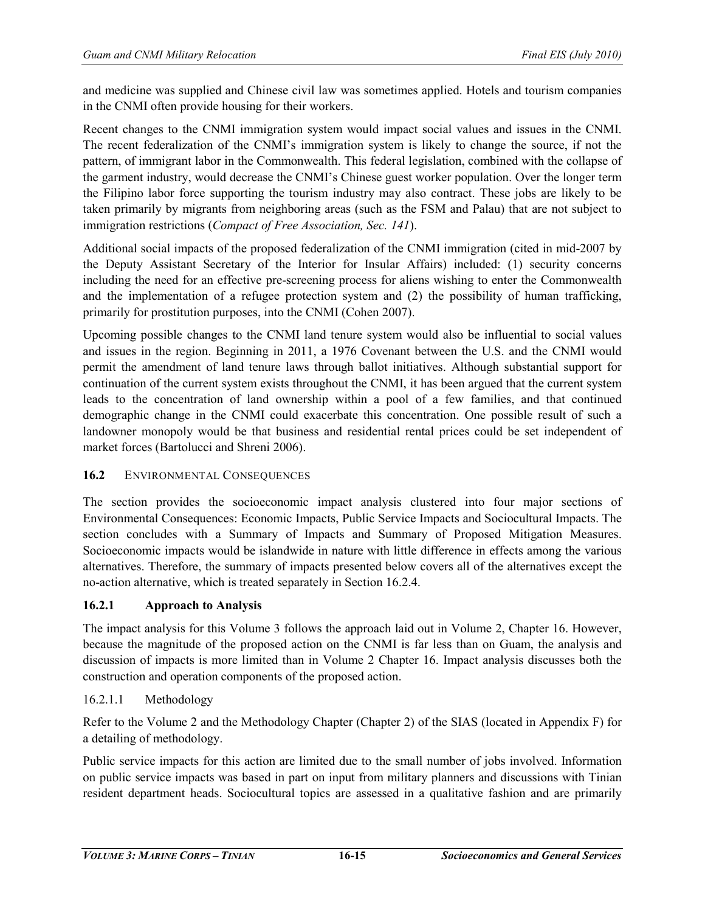and medicine was supplied and Chinese civil law was sometimes applied. Hotels and tourism companies in the CNMI often provide housing for their workers.

Recent changes to the CNMI immigration system would impact social values and issues in the CNMI. The recent federalization of the CNMI's immigration system is likely to change the source, if not the pattern, of immigrant labor in the Commonwealth. This federal legislation, combined with the collapse of the garment industry, would decrease the CNMI's Chinese guest worker population. Over the longer term the Filipino labor force supporting the tourism industry may also contract. These jobs are likely to be taken primarily by migrants from neighboring areas (such as the FSM and Palau) that are not subject to immigration restrictions (*Compact of Free Association, Sec. 141*).

Additional social impacts of the proposed federalization of the CNMI immigration (cited in mid-2007 by the Deputy Assistant Secretary of the Interior for Insular Affairs) included: (1) security concerns including the need for an effective pre-screening process for aliens wishing to enter the Commonwealth and the implementation of a refugee protection system and (2) the possibility of human trafficking, primarily for prostitution purposes, into the CNMI (Cohen 2007).

Upcoming possible changes to the CNMI land tenure system would also be influential to social values and issues in the region. Beginning in 2011, a 1976 Covenant between the U.S. and the CNMI would permit the amendment of land tenure laws through ballot initiatives. Although substantial support for continuation of the current system exists throughout the CNMI, it has been argued that the current system leads to the concentration of land ownership within a pool of a few families, and that continued demographic change in the CNMI could exacerbate this concentration. One possible result of such a landowner monopoly would be that business and residential rental prices could be set independent of market forces (Bartolucci and Shreni 2006).

## 16.2 ENVIRONMENTAL CONSEQUENCES

The section provides the socioeconomic impact analysis clustered into four major sections of Environmental Consequences: Economic Impacts, Public Service Impacts and Sociocultural Impacts. The section concludes with a Summary of Impacts and Summary of Proposed Mitigation Measures. Socioeconomic impacts would be islandwide in nature with little difference in effects among the various alternatives. Therefore, the summary of impacts presented below covers all of the alternatives except the no-action alternative, which is treated separately in Section 16.2.4.

## **16.2.1 Approach to Analysis**

The impact analysis for this Volume 3 follows the approach laid out in Volume 2, Chapter 16. However, because the magnitude of the proposed action on the CNMI is far less than on Guam, the analysis and discussion of impacts is more limited than in Volume 2 Chapter 16. Impact analysis discusses both the construction and operation components of the proposed action.

## 16.2.1.1 Methodology

Refer to the Volume 2 and the Methodology Chapter (Chapter 2) of the SIAS (located in Appendix F) for a detailing of methodology.

Public service impacts for this action are limited due to the small number of jobs involved. Information on public service impacts was based in part on input from military planners and discussions with Tinian resident department heads. Sociocultural topics are assessed in a qualitative fashion and are primarily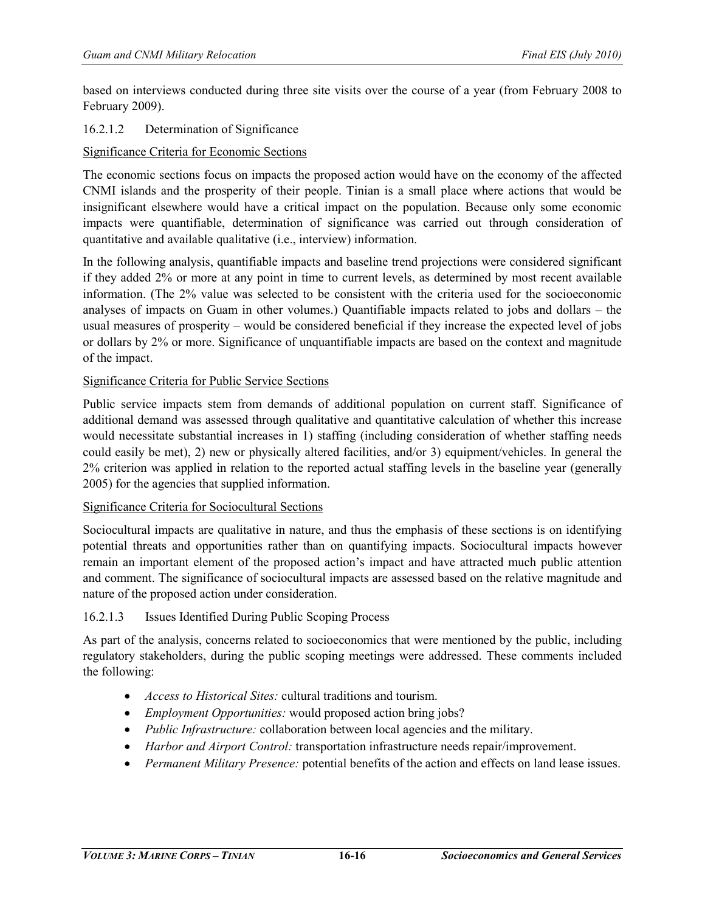based on interviews conducted during three site visits over the course of a year (from February 2008 to February 2009).

## 16.2.1.2 Determination of Significance

## Significance Criteria for Economic Sections

The economic sections focus on impacts the proposed action would have on the economy of the affected CNMI islands and the prosperity of their people. Tinian is a small place where actions that would be insignificant elsewhere would have a critical impact on the population. Because only some economic impacts were quantifiable, determination of significance was carried out through consideration of quantitative and available qualitative (i.e., interview) information.

In the following analysis, quantifiable impacts and baseline trend projections were considered significant if they added 2% or more at any point in time to current levels, as determined by most recent available information. (The 2% value was selected to be consistent with the criteria used for the socioeconomic analyses of impacts on Guam in other volumes.) Quantifiable impacts related to jobs and dollars – the usual measures of prosperity – would be considered beneficial if they increase the expected level of jobs or dollars by 2% or more. Significance of unquantifiable impacts are based on the context and magnitude of the impact.

## Significance Criteria for Public Service Sections

Public service impacts stem from demands of additional population on current staff. Significance of additional demand was assessed through qualitative and quantitative calculation of whether this increase would necessitate substantial increases in 1) staffing (including consideration of whether staffing needs could easily be met), 2) new or physically altered facilities, and/or 3) equipment/vehicles. In general the 2% criterion was applied in relation to the reported actual staffing levels in the baseline year (generally 2005) for the agencies that supplied information.

## Significance Criteria for Sociocultural Sections

Sociocultural impacts are qualitative in nature, and thus the emphasis of these sections is on identifying potential threats and opportunities rather than on quantifying impacts. Sociocultural impacts however remain an important element of the proposed action's impact and have attracted much public attention and comment. The significance of sociocultural impacts are assessed based on the relative magnitude and nature of the proposed action under consideration.

## 16.2.1.3 Issues Identified During Public Scoping Process

As part of the analysis, concerns related to socioeconomics that were mentioned by the public, including regulatory stakeholders, during the public scoping meetings were addressed. These comments included the following:

- *Access to Historical Sites:* cultural traditions and tourism.
- *Employment Opportunities:* would proposed action bring jobs?
- *Public Infrastructure:* collaboration between local agencies and the military.
- *Harbor and Airport Control:* transportation infrastructure needs repair/improvement.
- *Permanent Military Presence:* potential benefits of the action and effects on land lease issues.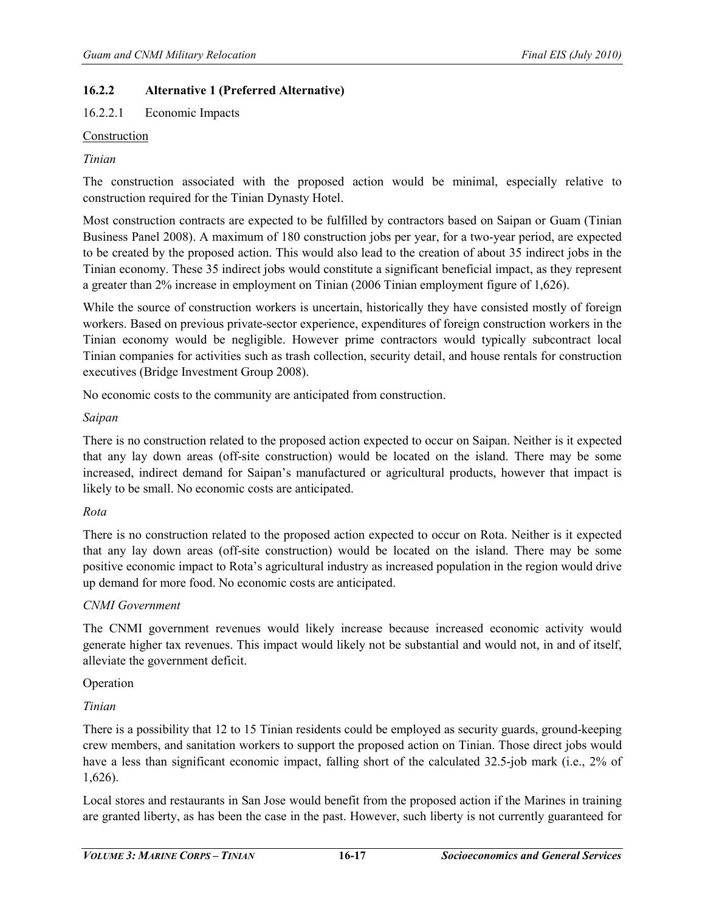## **16.2.2 Alternative 1 (Preferred Alternative)**

16.2.2.1 Economic Impacts

#### Construction

#### *Tinian*

The construction associated with the proposed action would be minimal, especially relative to construction required for the Tinian Dynasty Hotel.

Most construction contracts are expected to be fulfilled by contractors based on Saipan or Guam (Tinian Business Panel 2008). A maximum of 180 construction jobs per year, for a two-year period, are expected to be created by the proposed action. This would also lead to the creation of about 35 indirect jobs in the Tinian economy. These 35 indirect jobs would constitute a significant beneficial impact, as they represent a greater than 2% increase in employment on Tinian (2006 Tinian employment figure of 1,626).

While the source of construction workers is uncertain, historically they have consisted mostly of foreign workers. Based on previous private-sector experience, expenditures of foreign construction workers in the Tinian economy would be negligible. However prime contractors would typically subcontract local Tinian companies for activities such as trash collection, security detail, and house rentals for construction executives (Bridge Investment Group 2008).

No economic costs to the community are anticipated from construction.

#### *Saipan*

There is no construction related to the proposed action expected to occur on Saipan. Neither is it expected that any lay down areas (off-site construction) would be located on the island. There may be some increased, indirect demand for Saipan's manufactured or agricultural products, however that impact is likely to be small. No economic costs are anticipated.

#### *Rota*

There is no construction related to the proposed action expected to occur on Rota. Neither is it expected that any lay down areas (off-site construction) would be located on the island. There may be some positive economic impact to Rota's agricultural industry as increased population in the region would drive up demand for more food. No economic costs are anticipated.

#### *CNMI Government*

The CNMI government revenues would likely increase because increased economic activity would generate higher tax revenues. This impact would likely not be substantial and would not, in and of itself, alleviate the government deficit.

#### Operation

## *Tinian*

There is a possibility that 12 to 15 Tinian residents could be employed as security guards, ground-keeping crew members, and sanitation workers to support the proposed action on Tinian. Those direct jobs would have a less than significant economic impact, falling short of the calculated 32.5-job mark (i.e., 2% of 1,626).

Local stores and restaurants in San Jose would benefit from the proposed action if the Marines in training are granted liberty, as has been the case in the past. However, such liberty is not currently guaranteed for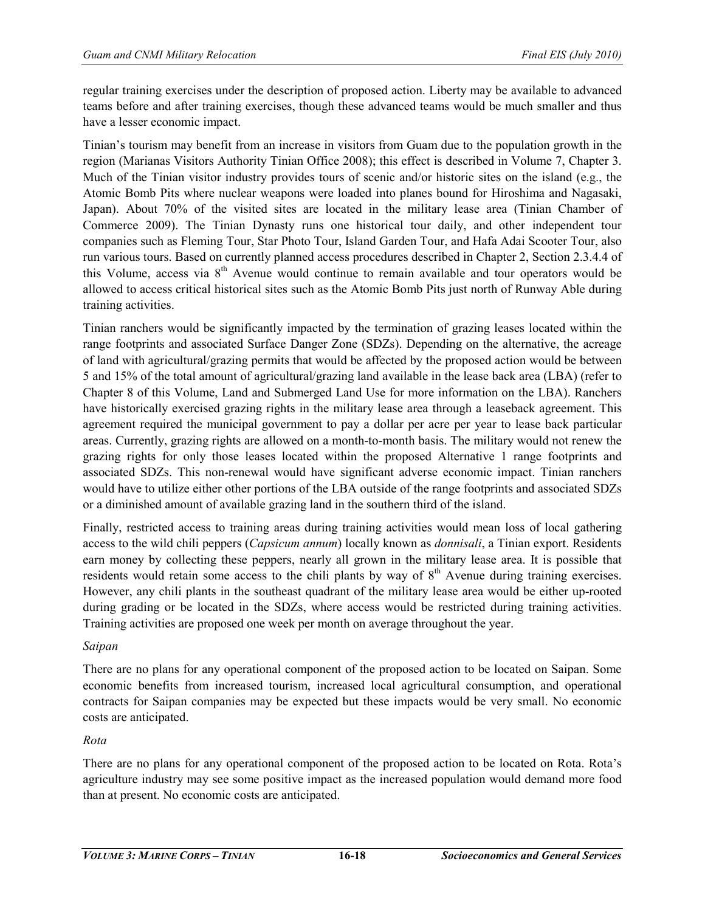regular training exercises under the description of proposed action. Liberty may be available to advanced teams before and after training exercises, though these advanced teams would be much smaller and thus have a lesser economic impact.

Tinian's tourism may benefit from an increase in visitors from Guam due to the population growth in the region (Marianas Visitors Authority Tinian Office 2008); this effect is described in Volume 7, Chapter 3. Much of the Tinian visitor industry provides tours of scenic and/or historic sites on the island (e.g., the Atomic Bomb Pits where nuclear weapons were loaded into planes bound for Hiroshima and Nagasaki, Japan). About 70% of the visited sites are located in the military lease area (Tinian Chamber of Commerce 2009). The Tinian Dynasty runs one historical tour daily, and other independent tour companies such as Fleming Tour, Star Photo Tour, Island Garden Tour, and Hafa Adai Scooter Tour, also run various tours. Based on currently planned access procedures described in Chapter 2, Section 2.3.4.4 of this Volume, access via 8<sup>th</sup> Avenue would continue to remain available and tour operators would be allowed to access critical historical sites such as the Atomic Bomb Pits just north of Runway Able during training activities.

Tinian ranchers would be significantly impacted by the termination of grazing leases located within the range footprints and associated Surface Danger Zone (SDZs). Depending on the alternative, the acreage of land with agricultural/grazing permits that would be affected by the proposed action would be between 5 and 15% of the total amount of agricultural/grazing land available in the lease back area (LBA) (refer to Chapter 8 of this Volume, Land and Submerged Land Use for more information on the LBA). Ranchers have historically exercised grazing rights in the military lease area through a leaseback agreement. This agreement required the municipal government to pay a dollar per acre per year to lease back particular areas. Currently, grazing rights are allowed on a month-to-month basis. The military would not renew the grazing rights for only those leases located within the proposed Alternative 1 range footprints and associated SDZs. This non-renewal would have significant adverse economic impact. Tinian ranchers would have to utilize either other portions of the LBA outside of the range footprints and associated SDZs or a diminished amount of available grazing land in the southern third of the island.

Finally, restricted access to training areas during training activities would mean loss of local gathering access to the wild chili peppers (*Capsicum annum*) locally known as *donnisali*, a Tinian export. Residents earn money by collecting these peppers, nearly all grown in the military lease area. It is possible that residents would retain some access to the chili plants by way of 8<sup>th</sup> Avenue during training exercises. However, any chili plants in the southeast quadrant of the military lease area would be either up-rooted during grading or be located in the SDZs, where access would be restricted during training activities. Training activities are proposed one week per month on average throughout the year.

## *Saipan*

There are no plans for any operational component of the proposed action to be located on Saipan. Some economic benefits from increased tourism, increased local agricultural consumption, and operational contracts for Saipan companies may be expected but these impacts would be very small. No economic costs are anticipated.

## *Rota*

There are no plans for any operational component of the proposed action to be located on Rota. Rota's agriculture industry may see some positive impact as the increased population would demand more food than at present. No economic costs are anticipated.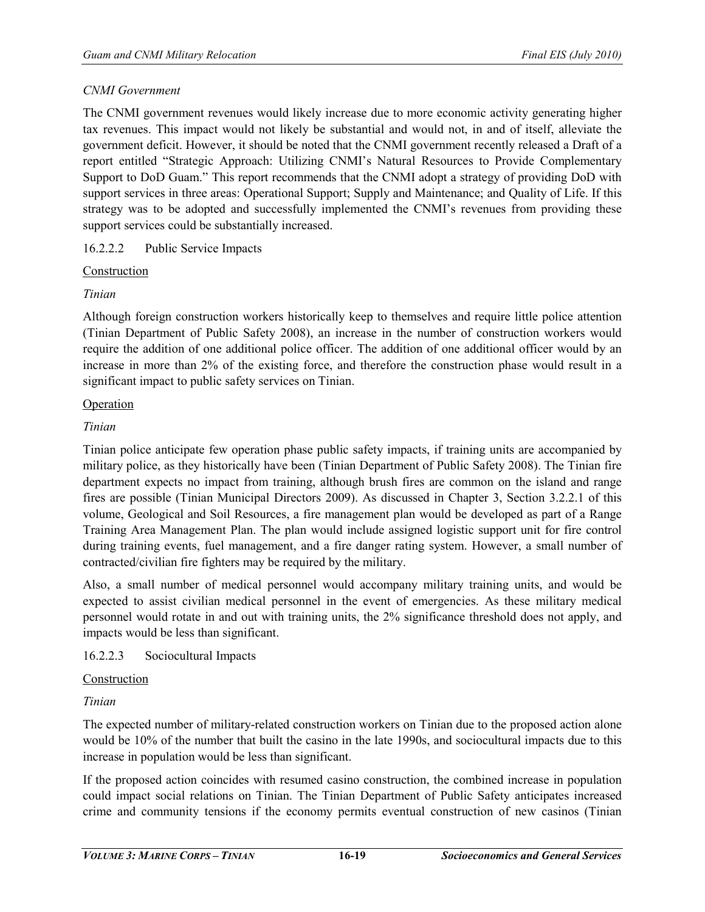## *CNMI Government*

The CNMI government revenues would likely increase due to more economic activity generating higher tax revenues. This impact would not likely be substantial and would not, in and of itself, alleviate the government deficit. However, it should be noted that the CNMI government recently released a Draft of a report entitled "Strategic Approach: Utilizing CNMI's Natural Resources to Provide Complementary Support to DoD Guam." This report recommends that the CNMI adopt a strategy of providing DoD with support services in three areas: Operational Support; Supply and Maintenance; and Quality of Life. If this strategy was to be adopted and successfully implemented the CNMI's revenues from providing these support services could be substantially increased.

## 16.2.2.2 Public Service Impacts

## Construction

## *Tinian*

Although foreign construction workers historically keep to themselves and require little police attention (Tinian Department of Public Safety 2008), an increase in the number of construction workers would require the addition of one additional police officer. The addition of one additional officer would by an increase in more than 2% of the existing force, and therefore the construction phase would result in a significant impact to public safety services on Tinian.

## Operation

## *Tinian*

Tinian police anticipate few operation phase public safety impacts, if training units are accompanied by military police, as they historically have been (Tinian Department of Public Safety 2008). The Tinian fire department expects no impact from training, although brush fires are common on the island and range fires are possible (Tinian Municipal Directors 2009). As discussed in Chapter 3, Section 3.2.2.1 of this volume, Geological and Soil Resources, a fire management plan would be developed as part of a Range Training Area Management Plan. The plan would include assigned logistic support unit for fire control during training events, fuel management, and a fire danger rating system. However, a small number of contracted/civilian fire fighters may be required by the military.

Also, a small number of medical personnel would accompany military training units, and would be expected to assist civilian medical personnel in the event of emergencies. As these military medical personnel would rotate in and out with training units, the 2% significance threshold does not apply, and impacts would be less than significant.

## 16.2.2.3 Sociocultural Impacts

## Construction

## *Tinian*

The expected number of military-related construction workers on Tinian due to the proposed action alone would be 10% of the number that built the casino in the late 1990s, and sociocultural impacts due to this increase in population would be less than significant.

If the proposed action coincides with resumed casino construction, the combined increase in population could impact social relations on Tinian. The Tinian Department of Public Safety anticipates increased crime and community tensions if the economy permits eventual construction of new casinos (Tinian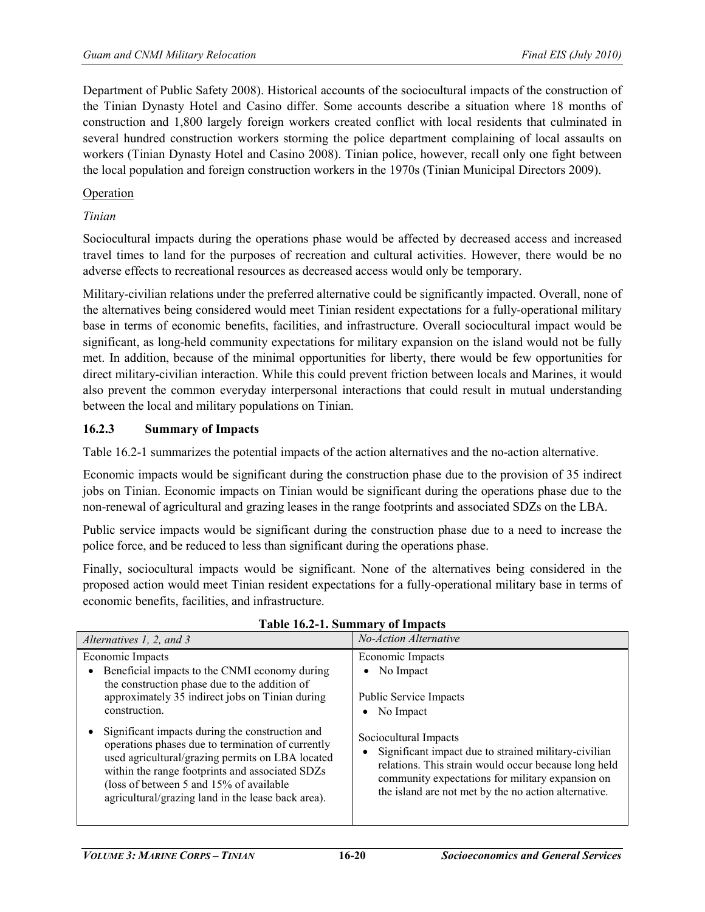Department of Public Safety 2008). Historical accounts of the sociocultural impacts of the construction of the Tinian Dynasty Hotel and Casino differ. Some accounts describe a situation where 18 months of construction and 1,800 largely foreign workers created conflict with local residents that culminated in several hundred construction workers storming the police department complaining of local assaults on workers (Tinian Dynasty Hotel and Casino 2008). Tinian police, however, recall only one fight between the local population and foreign construction workers in the 1970s (Tinian Municipal Directors 2009).

## Operation

## *Tinian*

Sociocultural impacts during the operations phase would be affected by decreased access and increased travel times to land for the purposes of recreation and cultural activities. However, there would be no adverse effects to recreational resources as decreased access would only be temporary.

Military-civilian relations under the preferred alternative could be significantly impacted. Overall, none of the alternatives being considered would meet Tinian resident expectations for a fully-operational military base in terms of economic benefits, facilities, and infrastructure. Overall sociocultural impact would be significant, as long-held community expectations for military expansion on the island would not be fully met. In addition, because of the minimal opportunities for liberty, there would be few opportunities for direct military-civilian interaction. While this could prevent friction between locals and Marines, it would also prevent the common everyday interpersonal interactions that could result in mutual understanding between the local and military populations on Tinian.

## **16.2.3 Summary of Impacts**

Table 16.2-1 summarizes the potential impacts of the action alternatives and the no-action alternative.

Economic impacts would be significant during the construction phase due to the provision of 35 indirect jobs on Tinian. Economic impacts on Tinian would be significant during the operations phase due to the non-renewal of agricultural and grazing leases in the range footprints and associated SDZs on the LBA.

Public service impacts would be significant during the construction phase due to a need to increase the police force, and be reduced to less than significant during the operations phase.

Finally, sociocultural impacts would be significant. None of the alternatives being considered in the proposed action would meet Tinian resident expectations for a fully-operational military base in terms of economic benefits, facilities, and infrastructure.

| Alternatives 1, 2, and 3                                                                                                                                                                                                                                                                                      | No-Action Alternative                                                                                                                                                                                                                               |
|---------------------------------------------------------------------------------------------------------------------------------------------------------------------------------------------------------------------------------------------------------------------------------------------------------------|-----------------------------------------------------------------------------------------------------------------------------------------------------------------------------------------------------------------------------------------------------|
| Economic Impacts<br>Beneficial impacts to the CNMI economy during<br>the construction phase due to the addition of<br>approximately 35 indirect jobs on Tinian during<br>construction.                                                                                                                        | Economic Impacts<br>No Impact<br>$\bullet$<br><b>Public Service Impacts</b><br>No Impact<br>٠                                                                                                                                                       |
| Significant impacts during the construction and<br>operations phases due to termination of currently<br>used agricultural/grazing permits on LBA located<br>within the range footprints and associated SDZs<br>(loss of between 5 and 15% of available)<br>agricultural/grazing land in the lease back area). | Sociocultural Impacts<br>• Significant impact due to strained military-civilian<br>relations. This strain would occur because long held<br>community expectations for military expansion on<br>the island are not met by the no action alternative. |

**Table 16.2-1. Summary of Impacts**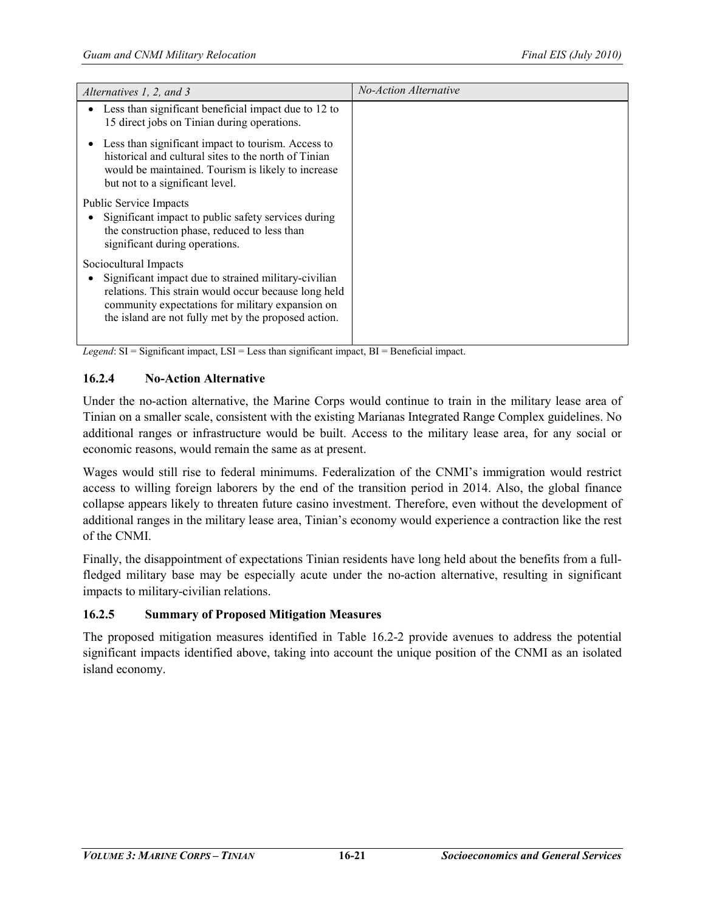| Alternatives 1, 2, and 3                                                                                                                                                                                                                          | No-Action Alternative |
|---------------------------------------------------------------------------------------------------------------------------------------------------------------------------------------------------------------------------------------------------|-----------------------|
| Less than significant beneficial impact due to 12 to<br>15 direct jobs on Tinian during operations.                                                                                                                                               |                       |
| Less than significant impact to tourism. Access to<br>historical and cultural sites to the north of Tinian<br>would be maintained. Tourism is likely to increase<br>but not to a significant level.                                               |                       |
| <b>Public Service Impacts</b><br>Significant impact to public safety services during<br>the construction phase, reduced to less than<br>significant during operations.                                                                            |                       |
| Sociocultural Impacts<br>Significant impact due to strained military-civilian<br>relations. This strain would occur because long held<br>community expectations for military expansion on<br>the island are not fully met by the proposed action. |                       |

*Legend*: SI = Significant impact, LSI = Less than significant impact, BI = Beneficial impact.

## **16.2.4 No-Action Alternative**

Under the no-action alternative, the Marine Corps would continue to train in the military lease area of Tinian on a smaller scale, consistent with the existing Marianas Integrated Range Complex guidelines. No additional ranges or infrastructure would be built. Access to the military lease area, for any social or economic reasons, would remain the same as at present.

Wages would still rise to federal minimums. Federalization of the CNMI's immigration would restrict access to willing foreign laborers by the end of the transition period in 2014. Also, the global finance collapse appears likely to threaten future casino investment. Therefore, even without the development of additional ranges in the military lease area, Tinian's economy would experience a contraction like the rest of the CNMI.

Finally, the disappointment of expectations Tinian residents have long held about the benefits from a fullfledged military base may be especially acute under the no-action alternative, resulting in significant impacts to military-civilian relations.

## **16.2.5 Summary of Proposed Mitigation Measures**

The proposed mitigation measures identified in Table 16.2-2 provide avenues to address the potential significant impacts identified above, taking into account the unique position of the CNMI as an isolated island economy.